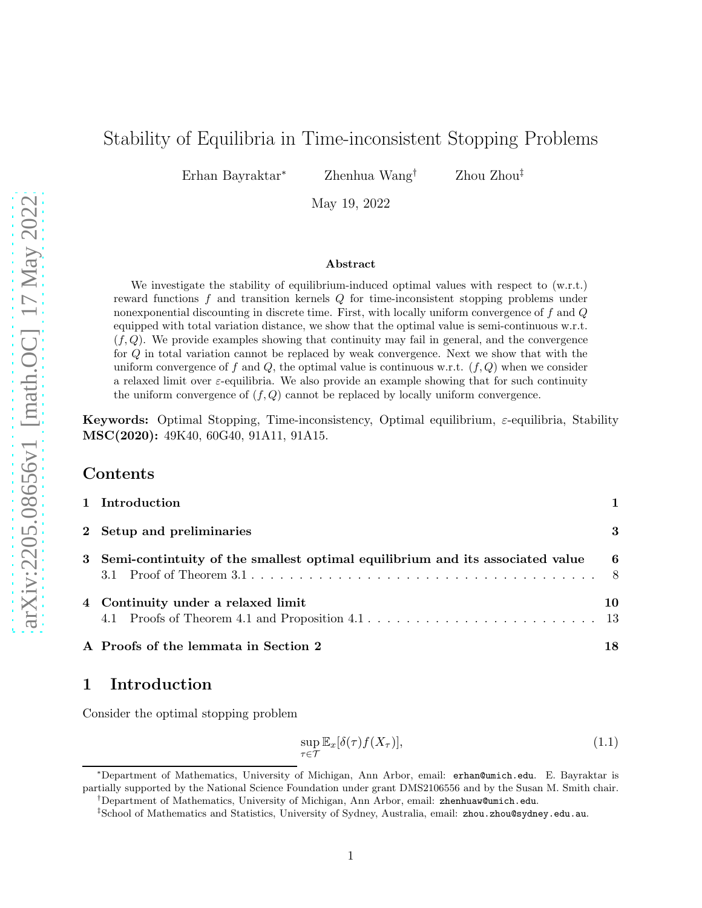# Stability of Equilibria in Time-inconsistent Stopping Problems

Erhan Bayraktar<sup>∗</sup> Zhenhua Wang† Zhou Zhou‡

May 19, 2022

#### Abstract

We investigate the stability of equilibrium-induced optimal values with respect to  $(w.r.t.)$ reward functions f and transition kernels Q for time-inconsistent stopping problems under nonexponential discounting in discrete time. First, with locally uniform convergence of f and Q equipped with total variation distance, we show that the optimal value is semi-continuous w.r.t.  $(f, Q)$ . We provide examples showing that continuity may fail in general, and the convergence for Q in total variation cannot be replaced by weak convergence. Next we show that with the uniform convergence of f and Q, the optimal value is continuous w.r.t.  $(f, Q)$  when we consider a relaxed limit over  $\varepsilon$ -equilibria. We also provide an example showing that for such continuity the uniform convergence of  $(f, Q)$  cannot be replaced by locally uniform convergence.

**Keywords:** Optimal Stopping, Time-inconsistency, Optimal equilibrium,  $\varepsilon$ -equilibria, Stability MSC(2020): 49K40, 60G40, 91A11, 91A15.

### Contents

| 1 Introduction                                                                 |     |
|--------------------------------------------------------------------------------|-----|
| 2 Setup and preliminaries                                                      | 3   |
| 3 Semi-continuity of the smallest optimal equilibrium and its associated value | - 6 |
| 4 Continuity under a relaxed limit                                             | 10  |
| A Proofs of the lemmata in Section 2                                           | 18  |

# <span id="page-0-0"></span>1 Introduction

Consider the optimal stopping problem

<span id="page-0-1"></span>
$$
\sup_{\tau \in \mathcal{T}} \mathbb{E}_x[\delta(\tau) f(X_\tau)],\tag{1.1}
$$

<sup>∗</sup>Department of Mathematics, University of Michigan, Ann Arbor, email: erhan@umich.edu. E. Bayraktar is partially supported by the National Science Foundation under grant DMS2106556 and by the Susan M. Smith chair.

†Department of Mathematics, University of Michigan, Ann Arbor, email: zhenhuaw@umich.edu.

<sup>‡</sup> School of Mathematics and Statistics, University of Sydney, Australia, email: zhou.zhou@sydney.edu.au.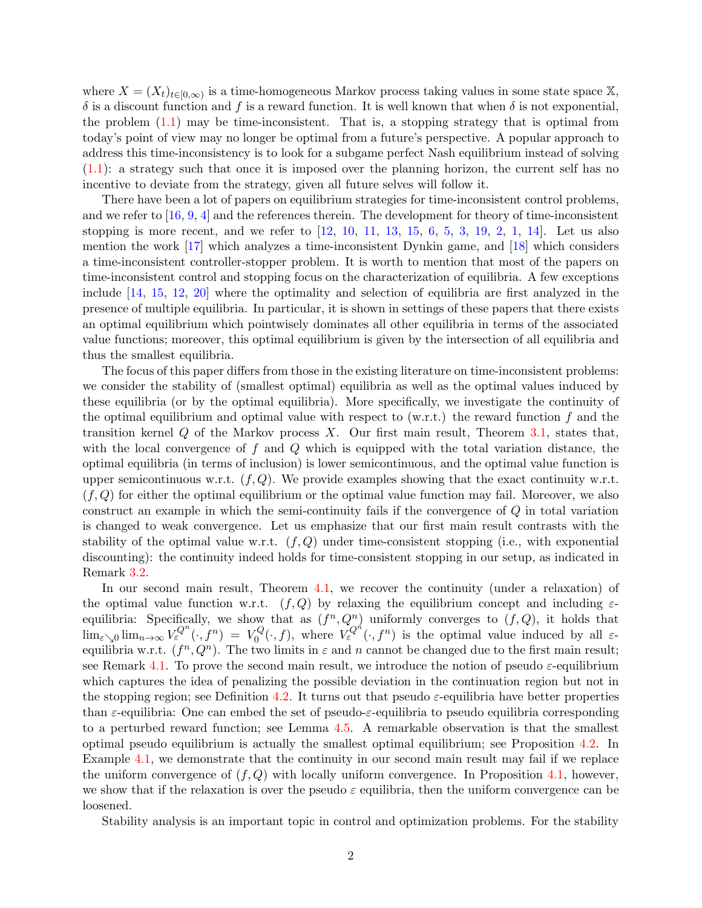where  $X = (X_t)_{t \in [0,\infty)}$  is a time-homogeneous Markov process taking values in some state space X,  $\delta$  is a discount function and f is a reward function. It is well known that when  $\delta$  is not exponential, the problem  $(1.1)$  may be time-inconsistent. That is, a stopping strategy that is optimal from today's point of view may no longer be optimal from a future's perspective. A popular approach to address this time-inconsistency is to look for a subgame perfect Nash equilibrium instead of solving  $(1.1)$ : a strategy such that once it is imposed over the planning horizon, the current self has no incentive to deviate from the strategy, given all future selves will follow it.

There have been a lot of papers on equilibrium strategies for time-inconsistent control problems, and we refer to [\[16,](#page-20-0) [9,](#page-20-1) [4\]](#page-20-2) and the references therein. The development for theory of time-inconsistent stopping is more recent, and we refer to  $[12, 10, 11, 13, 15, 6, 5, 3, 19, 2, 1, 14]$  $[12, 10, 11, 13, 15, 6, 5, 3, 19, 2, 1, 14]$  $[12, 10, 11, 13, 15, 6, 5, 3, 19, 2, 1, 14]$  $[12, 10, 11, 13, 15, 6, 5, 3, 19, 2, 1, 14]$  $[12, 10, 11, 13, 15, 6, 5, 3, 19, 2, 1, 14]$  $[12, 10, 11, 13, 15, 6, 5, 3, 19, 2, 1, 14]$  $[12, 10, 11, 13, 15, 6, 5, 3, 19, 2, 1, 14]$  $[12, 10, 11, 13, 15, 6, 5, 3, 19, 2, 1, 14]$  $[12, 10, 11, 13, 15, 6, 5, 3, 19, 2, 1, 14]$  $[12, 10, 11, 13, 15, 6, 5, 3, 19, 2, 1, 14]$  $[12, 10, 11, 13, 15, 6, 5, 3, 19, 2, 1, 14]$  $[12, 10, 11, 13, 15, 6, 5, 3, 19, 2, 1, 14]$  $[12, 10, 11, 13, 15, 6, 5, 3, 19, 2, 1, 14]$  $[12, 10, 11, 13, 15, 6, 5, 3, 19, 2, 1, 14]$  $[12, 10, 11, 13, 15, 6, 5, 3, 19, 2, 1, 14]$  $[12, 10, 11, 13, 15, 6, 5, 3, 19, 2, 1, 14]$  $[12, 10, 11, 13, 15, 6, 5, 3, 19, 2, 1, 14]$  $[12, 10, 11, 13, 15, 6, 5, 3, 19, 2, 1, 14]$  $[12, 10, 11, 13, 15, 6, 5, 3, 19, 2, 1, 14]$  $[12, 10, 11, 13, 15, 6, 5, 3, 19, 2, 1, 14]$  $[12, 10, 11, 13, 15, 6, 5, 3, 19, 2, 1, 14]$  $[12, 10, 11, 13, 15, 6, 5, 3, 19, 2, 1, 14]$ . Let us also mention the work [\[17\]](#page-20-13) which analyzes a time-inconsistent Dynkin game, and [\[18\]](#page-20-14) which considers a time-inconsistent controller-stopper problem. It is worth to mention that most of the papers on time-inconsistent control and stopping focus on the characterization of equilibria. A few exceptions include [\[14,](#page-20-12) [15,](#page-20-7) [12,](#page-20-3) [20\]](#page-20-15) where the optimality and selection of equilibria are first analyzed in the presence of multiple equilibria. In particular, it is shown in settings of these papers that there exists an optimal equilibrium which pointwisely dominates all other equilibria in terms of the associated value functions; moreover, this optimal equilibrium is given by the intersection of all equilibria and thus the smallest equilibria.

The focus of this paper differs from those in the existing literature on time-inconsistent problems: we consider the stability of (smallest optimal) equilibria as well as the optimal values induced by these equilibria (or by the optimal equilibria). More specifically, we investigate the continuity of the optimal equilibrium and optimal value with respect to  $(w.r.t.)$  the reward function f and the transition kernel  $Q$  of the Markov process  $X$ . Our first main result, Theorem [3.1,](#page-5-1) states that, with the local convergence of  $f$  and  $Q$  which is equipped with the total variation distance, the optimal equilibria (in terms of inclusion) is lower semicontinuous, and the optimal value function is upper semicontinuous w.r.t.  $(f, Q)$ . We provide examples showing that the exact continuity w.r.t.  $(f, Q)$  for either the optimal equilibrium or the optimal value function may fail. Moreover, we also construct an example in which the semi-continuity fails if the convergence of Q in total variation is changed to weak convergence. Let us emphasize that our first main result contrasts with the stability of the optimal value w.r.t.  $(f, Q)$  under time-consistent stopping (i.e., with exponential discounting): the continuity indeed holds for time-consistent stopping in our setup, as indicated in Remark [3.2.](#page-5-2)

In our second main result, Theorem [4.1,](#page-10-0) we recover the continuity (under a relaxation) of the optimal value function w.r.t.  $(f, Q)$  by relaxing the equilibrium concept and including  $\varepsilon$ equilibria: Specifically, we show that as  $(f^n, Q^n)$  uniformly converges to  $(f, Q)$ , it holds that  $\lim_{\varepsilon \searrow 0} \lim_{n \to \infty} V_{\varepsilon}^{Q^n}(\cdot, f^n) = V_0^Q$  $\mathcal{L}_{0}^{Q}(\cdot,f)$ , where  $V_{\varepsilon}^{Q^{n}}(\cdot,f^{n})$  is the optimal value induced by all  $\varepsilon$ equilibria w.r.t.  $(f^n, Q^n)$ . The two limits in  $\varepsilon$  and n cannot be changed due to the first main result; see Remark [4.1.](#page-10-1) To prove the second main result, we introduce the notion of pseudo  $\varepsilon$ -equilibrium which captures the idea of penalizing the possible deviation in the continuation region but not in the stopping region; see Definition [4.2.](#page-9-1) It turns out that pseudo  $\varepsilon$ -equilibria have better properties than  $\varepsilon$ -equilibria: One can embed the set of pseudo- $\varepsilon$ -equilibria to pseudo equilibria corresponding to a perturbed reward function; see Lemma [4.5.](#page-14-0) A remarkable observation is that the smallest optimal pseudo equilibrium is actually the smallest optimal equilibrium; see Proposition [4.2.](#page-12-2) In Example [4.1,](#page-11-0) we demonstrate that the continuity in our second main result may fail if we replace the uniform convergence of  $(f, Q)$  with locally uniform convergence. In Proposition [4.1,](#page-12-0) however, we show that if the relaxation is over the pseudo  $\varepsilon$  equilibria, then the uniform convergence can be loosened.

Stability analysis is an important topic in control and optimization problems. For the stability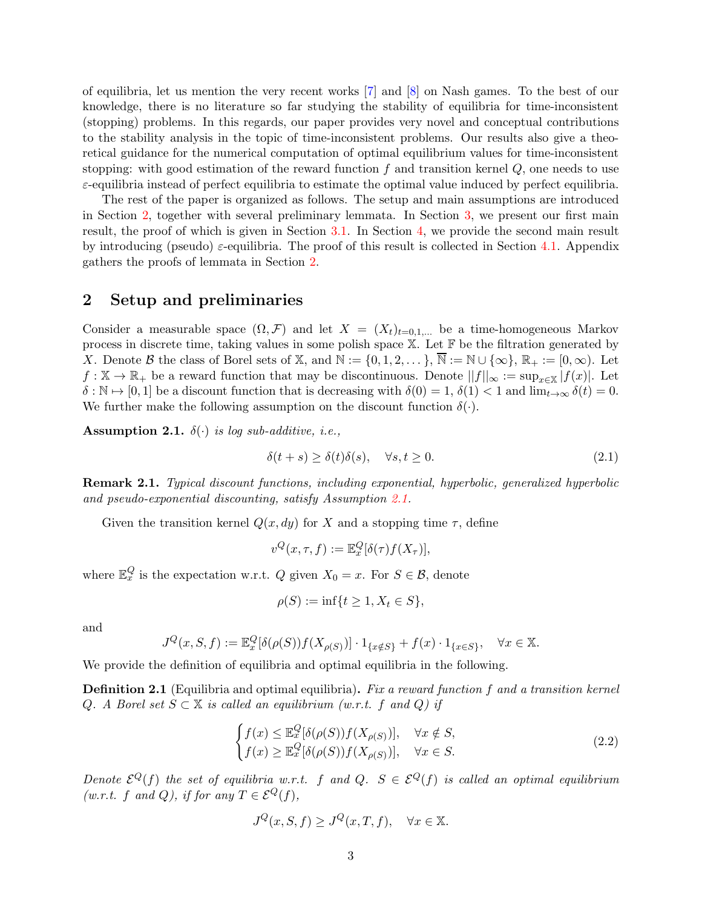of equilibria, let us mention the very recent works [\[7\]](#page-20-16) and [\[8\]](#page-20-17) on Nash games. To the best of our knowledge, there is no literature so far studying the stability of equilibria for time-inconsistent (stopping) problems. In this regards, our paper provides very novel and conceptual contributions to the stability analysis in the topic of time-inconsistent problems. Our results also give a theoretical guidance for the numerical computation of optimal equilibrium values for time-inconsistent stopping: with good estimation of the reward function f and transition kernel  $Q$ , one needs to use  $\varepsilon$ -equilibria instead of perfect equilibria to estimate the optimal value induced by perfect equilibria.

The rest of the paper is organized as follows. The setup and main assumptions are introduced in Section [2,](#page-2-0) together with several preliminary lemmata. In Section [3,](#page-5-0) we present our first main result, the proof of which is given in Section [3.1.](#page-7-0) In Section [4,](#page-9-0) we provide the second main result by introducing (pseudo)  $\varepsilon$ -equilibria. The proof of this result is collected in Section [4.1.](#page-12-1) Appendix gathers the proofs of lemmata in Section [2.](#page-2-0)

### <span id="page-2-0"></span>2 Setup and preliminaries

Consider a measurable space  $(\Omega, \mathcal{F})$  and let  $X = (X_t)_{t=0,1,...}$  be a time-homogeneous Markov process in discrete time, taking values in some polish space  $X$ . Let  $\mathbb F$  be the filtration generated by X. Denote B the class of Borel sets of X, and  $\mathbb{N} := \{0, 1, 2, \dots\}$ ,  $\overline{\mathbb{N}} := \mathbb{N} \cup \{\infty\}$ ,  $\mathbb{R}_+ := [0, \infty)$ . Let  $f: \mathbb{X} \to \mathbb{R}_+$  be a reward function that may be discontinuous. Denote  $||f||_{\infty} := \sup_{x \in \mathbb{X}} |f(x)|$ . Let  $\delta : \mathbb{N} \to [0, 1]$  be a discount function that is decreasing with  $\delta(0) = 1, \delta(1) < 1$  and  $\lim_{t \to \infty} \delta(t) = 0$ . We further make the following assumption on the discount function  $\delta(\cdot)$ .

<span id="page-2-1"></span>**Assumption 2.1.**  $\delta(\cdot)$  is log sub-additive, i.e.,

$$
\delta(t+s) \ge \delta(t)\delta(s), \quad \forall s, t \ge 0. \tag{2.1}
$$

Remark 2.1. Typical discount functions, including exponential, hyperbolic, generalized hyperbolic and pseudo-exponential discounting, satisfy Assumption [2.1.](#page-2-1)

Given the transition kernel  $Q(x, dy)$  for X and a stopping time  $\tau$ , define

$$
v^{Q}(x,\tau,f):=\mathbb{E}_{x}^{Q}[\delta(\tau)f(X_{\tau})],
$$

where  $\mathbb{E}_x^Q$  is the expectation w.r.t. Q given  $X_0 = x$ . For  $S \in \mathcal{B}$ , denote

$$
\rho(S) := \inf\{t \ge 1, X_t \in S\},\
$$

and

$$
J^{Q}(x, S, f) := \mathbb{E}_{x}^{Q}[\delta(\rho(S))f(X_{\rho(S)})] \cdot 1_{\{x \notin S\}} + f(x) \cdot 1_{\{x \in S\}}, \quad \forall x \in \mathbb{X}.
$$

We provide the definition of equilibria and optimal equilibria in the following.

**Definition 2.1** (Equilibria and optimal equilibria). Fix a reward function f and a transition kernel Q. A Borel set  $S \subset \mathbb{X}$  is called an equilibrium (w.r.t. f and Q) if

$$
\begin{cases}\nf(x) \le \mathbb{E}_x^Q[\delta(\rho(S))f(X_{\rho(S)})], & \forall x \notin S, \\
f(x) \ge \mathbb{E}_x^Q[\delta(\rho(S))f(X_{\rho(S)})], & \forall x \in S.\n\end{cases}
$$
\n(2.2)

Denote  $\mathcal{E}^Q(f)$  the set of equilibria w.r.t. f and Q.  $S \in \mathcal{E}^Q(f)$  is called an optimal equilibrium  $(w.r.t. f and Q)$ , if for any  $T \in \mathcal{E}^Q(f)$ ,

$$
J^{Q}(x, S, f) \ge J^{Q}(x, T, f), \quad \forall x \in \mathbb{X}.
$$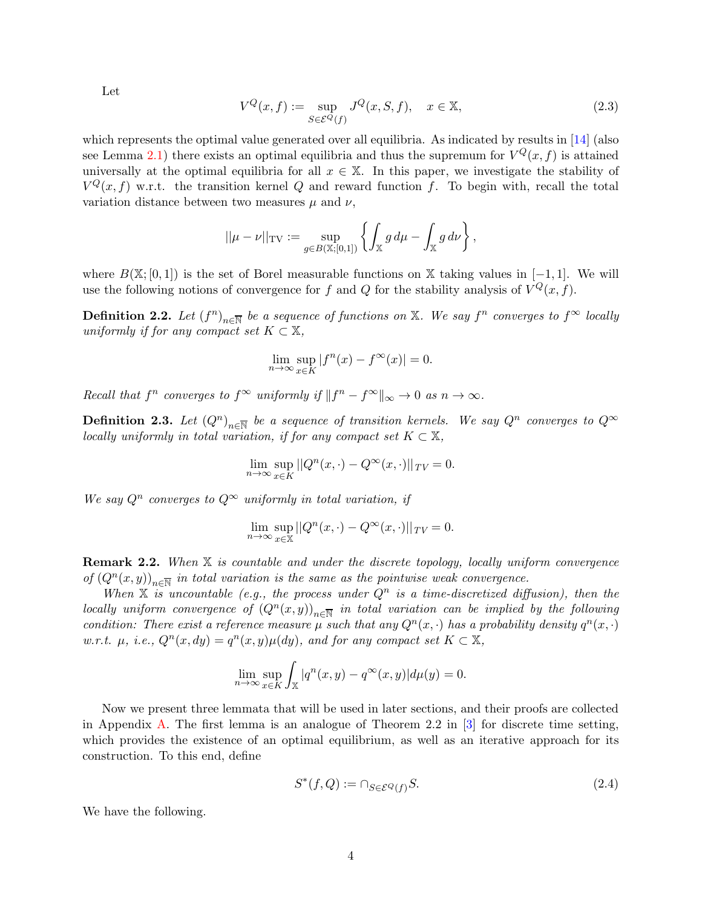Let

<span id="page-3-0"></span>
$$
V^{Q}(x,f) := \sup_{S \in \mathcal{E}^{Q}(f)} J^{Q}(x,S,f), \quad x \in \mathbb{X},
$$
\n(2.3)

which represents the optimal value generated over all equilibria. As indicated by results in [\[14\]](#page-20-12) (also see Lemma [2.1\)](#page-4-0) there exists an optimal equilibria and thus the supremum for  $V^Q(x, f)$  is attained universally at the optimal equilibria for all  $x \in \mathbb{X}$ . In this paper, we investigate the stability of  $V^Q(x, f)$  w.r.t. the transition kernel Q and reward function f. To begin with, recall the total variation distance between two measures  $\mu$  and  $\nu$ ,

$$
||\mu - \nu||_{\text{TV}} := \sup_{g \in B(\mathbb{X};[0,1])} \left\{ \int_{\mathbb{X}} g \, d\mu - \int_{\mathbb{X}} g \, d\nu \right\},
$$

where  $B(\mathbb{X};[0,1])$  is the set of Borel measurable functions on X taking values in [−1, 1]. We will use the following notions of convergence for f and Q for the stability analysis of  $V^Q(x, f)$ .

**Definition 2.2.** Let  $(f^n)_{n\in\overline{\mathbb{N}}}$  be a sequence of functions on  $\mathbb{X}$ . We say  $f^n$  converges to  $f^{\infty}$  locally uniformly if for any compact set  $K \subset \mathbb{X}$ ,

$$
\lim_{n \to \infty} \sup_{x \in K} |f^n(x) - f^{\infty}(x)| = 0.
$$

Recall that  $f^n$  converges to  $f^{\infty}$  uniformly if  $||f^n - f^{\infty}||_{\infty} \to 0$  as  $n \to \infty$ .

**Definition 2.3.** Let  $(Q^n)_{n\in\overline{\mathbb{N}}}$  be a sequence of transition kernels. We say  $Q^n$  converges to  $Q^{\infty}$ locally uniformly in total variation, if for any compact set  $K \subset \mathbb{X}$ ,

$$
\lim_{n \to \infty} \sup_{x \in K} ||Q^n(x, \cdot) - Q^{\infty}(x, \cdot)||_{TV} = 0.
$$

We say  $Q^n$  converges to  $Q^{\infty}$  uniformly in total variation, if

$$
\lim_{n \to \infty} \sup_{x \in \mathbb{X}} ||Q^n(x, \cdot) - Q^{\infty}(x, \cdot)||_{TV} = 0.
$$

**Remark 2.2.** When  $X$  is countable and under the discrete topology, locally uniform convergence of  $(Q<sup>n</sup>(x, y))_{n \in \overline{\mathbb{N}}}$  in total variation is the same as the pointwise weak convergence.

When  $X$  is uncountable (e.g., the process under  $Q<sup>n</sup>$  is a time-discretized diffusion), then the locally uniform convergence of  $(Q^n(x, y))_{n \in \overline{\mathbb{N}}}$  in total variation can be implied by the following condition: There exist a reference measure  $\mu$  such that any  $Q^n(x, \cdot)$  has a probability density  $q^n(x, \cdot)$ w.r.t.  $\mu$ , i.e.,  $Q^n(x, dy) = q^n(x, y)\mu(dy)$ , and for any compact set  $K \subset \mathbb{X}$ ,

$$
\lim_{n \to \infty} \sup_{x \in K} \int_{\mathbb{X}} |q^n(x, y) - q^{\infty}(x, y)| d\mu(y) = 0.
$$

Now we present three lemmata that will be used in later sections, and their proofs are collected in Appendix [A.](#page-17-0) The first lemma is an analogue of Theorem 2.2 in  $\lceil 3 \rceil$  for discrete time setting, which provides the existence of an optimal equilibrium, as well as an iterative approach for its construction. To this end, define

<span id="page-3-1"></span>
$$
S^*(f, Q) := \cap_{S \in \mathcal{E}^Q(f)} S. \tag{2.4}
$$

We have the following.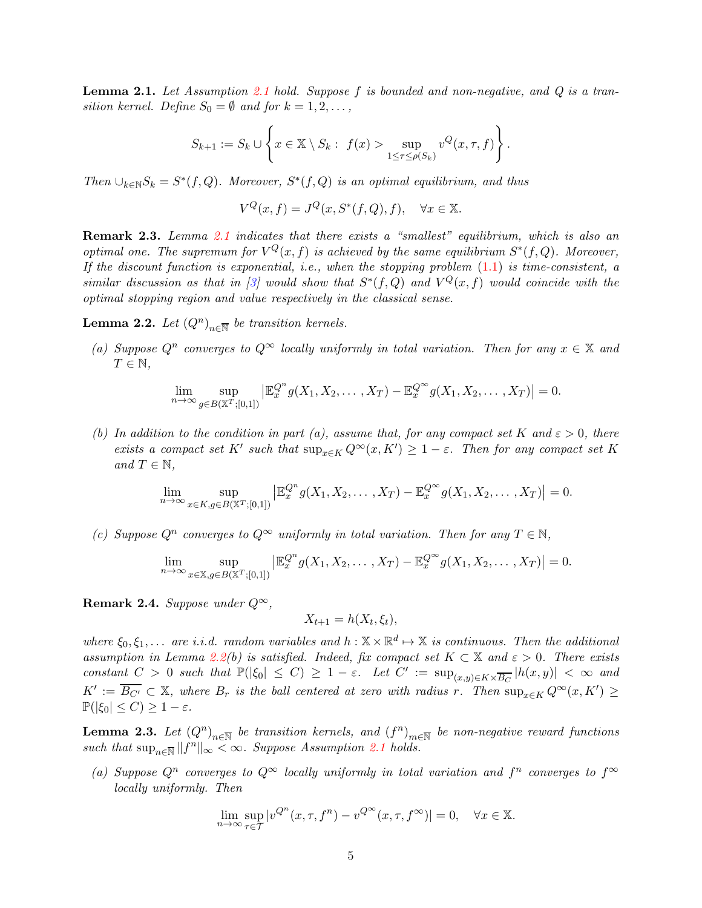<span id="page-4-0"></span>**Lemma [2.1](#page-2-1).** Let Assumption 2.1 hold. Suppose f is bounded and non-negative, and  $Q$  is a transition kernel. Define  $S_0 = \emptyset$  and for  $k = 1, 2, \ldots$ ,

$$
S_{k+1} := S_k \cup \left\{ x \in \mathbb{X} \setminus S_k : f(x) > \sup_{1 \leq \tau \leq \rho(S_k)} v^Q(x, \tau, f) \right\}.
$$

Then  $\bigcup_{k\in\mathbb{N}}S_k=S^*(f,Q)$ . Moreover,  $S^*(f,Q)$  is an optimal equilibrium, and thus

$$
V^{Q}(x,f) = J^{Q}(x, S^{*}(f,Q), f), \quad \forall x \in \mathbb{X}.
$$

Remark 2.3. Lemma [2.1](#page-4-0) indicates that there exists a "smallest" equilibrium, which is also an optimal one. The supremum for  $V^Q(x, f)$  is achieved by the same equilibrium  $S^*(f, Q)$ . Moreover, If the discount function is exponential, i.e., when the stopping problem  $(1.1)$  is time-consistent, a similar discussion as that in [\[3\]](#page-20-10) would show that  $S^*(f, Q)$  and  $V^Q(x, f)$  would coincide with the optimal stopping region and value respectively in the classical sense.

<span id="page-4-1"></span>**Lemma 2.2.** Let  $(Q^n)_{n \in \overline{\mathbb{N}}}$  be transition kernels.

(a) Suppose  $Q^n$  converges to  $Q^{\infty}$  locally uniformly in total variation. Then for any  $x \in \mathbb{X}$  and  $T \in \mathbb{N}$ ,

$$
\lim_{n\to\infty}\sup_{g\in B(\mathbb{X}^T;[0,1])}\left|\mathbb{E}_x^{Q^n}g(X_1,X_2,\ldots,X_T)-\mathbb{E}_x^{Q^\infty}g(X_1,X_2,\ldots,X_T)\right|=0.
$$

(b) In addition to the condition in part (a), assume that, for any compact set K and  $\varepsilon > 0$ , there exists a compact set K' such that  $\sup_{x \in K} Q^{\infty}(x, K') \geq 1 - \varepsilon$ . Then for any compact set K and  $T \in \mathbb{N}$ ,

$$
\lim_{n\to\infty}\sup_{x\in K,g\in B(\mathbb{X}^T;[0,1])}\left|\mathbb{E}_x^{Q^n}g(X_1,X_2,\ldots,X_T)-\mathbb{E}_x^{Q^\infty}g(X_1,X_2,\ldots,X_T)\right|=0.
$$

(c) Suppose  $Q^n$  converges to  $Q^{\infty}$  uniformly in total variation. Then for any  $T \in \mathbb{N}$ ,

$$
\lim_{n\to\infty}\sup_{x\in\mathbb{X},g\in B(\mathbb{X}^T;[0,1])}\left|\mathbb{E}_x^{Q^n}g(X_1,X_2,\ldots,X_T)-\mathbb{E}_x^{Q^\infty}g(X_1,X_2,\ldots,X_T)\right|=0.
$$

Remark 2.4. Suppose under  $Q^{\infty}$ ,

$$
X_{t+1} = h(X_t, \xi_t),
$$

where  $\xi_0, \xi_1, \ldots$  are i.i.d. random variables and  $h : \mathbb{X} \times \mathbb{R}^d \mapsto \mathbb{X}$  is continuous. Then the additional assumption in Lemma [2.2\(](#page-4-1)b) is satisfied. Indeed, fix compact set  $K \subset \mathbb{X}$  and  $\varepsilon > 0$ . There exists constant  $C > 0$  such that  $\mathbb{P}(|\xi_0| \leq C) \geq 1 - \varepsilon$ . Let  $C' := \sup_{(x,y) \in K \times \overline{B_C}} |h(x,y)| < \infty$  and  $K' := \overline{B_{C'}} \subset \mathbb{X}$ , where  $B_r$  is the ball centered at zero with radius r. Then  $\sup_{x \in K} Q^{\infty}(x, K') \ge$  $\mathbb{P}(|\xi_0| \leq C) \geq 1 - \varepsilon.$ 

<span id="page-4-2"></span>**Lemma 2.3.** Let  $(Q^n)_{n\in\overline{\mathbb{N}}}$  be transition kernels, and  $(f^n)_{m\in\overline{\mathbb{N}}}$  be non-negative reward functions such that  $\sup_{n\in\overline{N}}||f^n||_{\infty}<\infty$ . Suppose Assumption [2.1](#page-2-1) holds.

(a) Suppose  $Q^n$  converges to  $Q^{\infty}$  locally uniformly in total variation and  $f^n$  converges to  $f^{\infty}$ locally uniformly. Then

$$
\lim_{n \to \infty} \sup_{\tau \in \mathcal{T}} |v^{Q^n}(x, \tau, f^n) - v^{Q^{\infty}}(x, \tau, f^{\infty})| = 0, \quad \forall x \in \mathbb{X}.
$$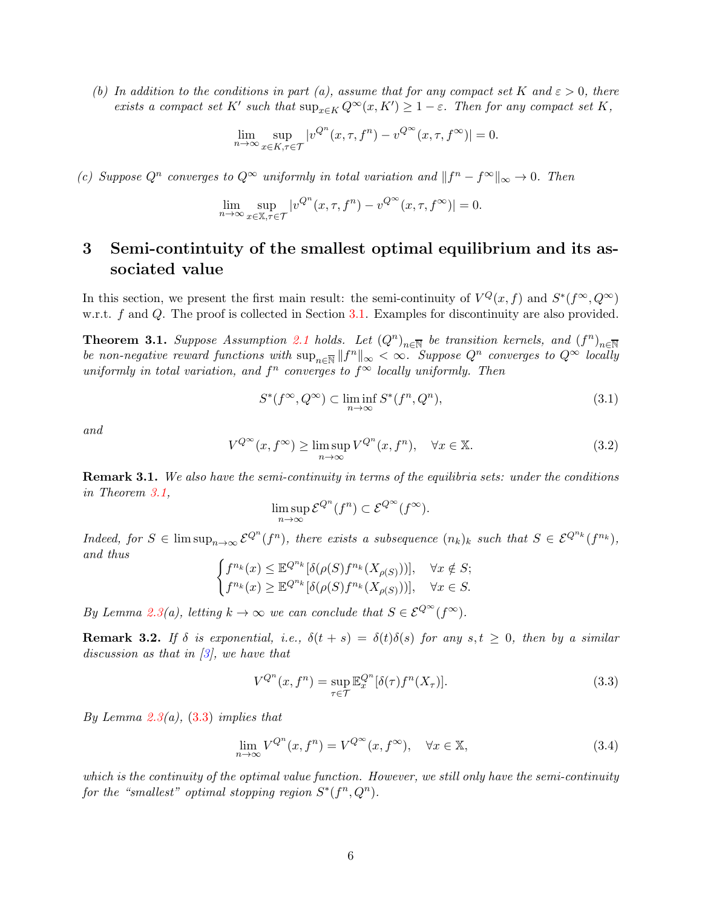(b) In addition to the conditions in part (a), assume that for any compact set K and  $\varepsilon > 0$ , there exists a compact set K' such that  $\sup_{x \in K} Q^{\infty}(x, K') \geq 1 - \varepsilon$ . Then for any compact set K,

$$
\lim_{n \to \infty} \sup_{x \in K, \tau \in \mathcal{T}} |v^{Q^n}(x, \tau, f^n) - v^{Q^{\infty}}(x, \tau, f^{\infty})| = 0.
$$

(c) Suppose  $Q^n$  converges to  $Q^{\infty}$  uniformly in total variation and  $||f^n - f^{\infty}||_{\infty} \to 0$ . Then

$$
\lim_{n \to \infty} \sup_{x \in \mathbb{X}, \tau \in \mathcal{T}} |v^{Q^n}(x, \tau, f^n) - v^{Q^{\infty}}(x, \tau, f^{\infty})| = 0.
$$

# <span id="page-5-0"></span>3 Semi-contintuity of the smallest optimal equilibrium and its associated value

In this section, we present the first main result: the semi-continuity of  $V^Q(x, f)$  and  $S^*(f^\infty, Q^\infty)$ w.r.t. f and Q. The proof is collected in Section [3.1.](#page-7-0) Examples for discontinuity are also provided.

<span id="page-5-1"></span>**Theorem 3.1.** Suppose Assumption [2.1](#page-2-1) holds. Let  $(Q^n)_{n \in \mathbb{N}}$  be transition kernels, and  $(f^n)_{n \in \mathbb{N}}$ be non-negative reward functions with  $\sup_{n\in\overline{N}}||f^n||_{\infty}<\infty$ . Suppose  $Q^n$  converges to  $Q^{\infty}$  locally uniformly in total variation, and  $f^n$  converges to  $f^{\infty}$  locally uniformly. Then

<span id="page-5-4"></span>
$$
S^*(f^{\infty}, Q^{\infty}) \subset \liminf_{n \to \infty} S^*(f^n, Q^n), \tag{3.1}
$$

and

<span id="page-5-5"></span>
$$
V^{Q^{\infty}}(x, f^{\infty}) \ge \limsup_{n \to \infty} V^{Q^n}(x, f^n), \quad \forall x \in \mathbb{X}.
$$
 (3.2)

<span id="page-5-6"></span>**Remark 3.1.** We also have the semi-continuity in terms of the equilibria sets: under the conditions in Theorem [3.1,](#page-5-1)

$$
\limsup_{n \to \infty} \mathcal{E}^{Q^n}(f^n) \subset \mathcal{E}^{Q^{\infty}}(f^{\infty}).
$$

Indeed, for  $S \in \limsup_{n \to \infty} \mathcal{E}^{Q^n}(f^n)$ , there exists a subsequence  $(n_k)_k$  such that  $S \in \mathcal{E}^{Q^{n_k}}(f^{n_k})$ , and thus

$$
\begin{cases}\nf^{n_k}(x) \le \mathbb{E}^{Q^{n_k}}[\delta(\rho(S)f^{n_k}(X_{\rho(S)}))], & \forall x \notin S; \\
f^{n_k}(x) \ge \mathbb{E}^{Q^{n_k}}[\delta(\rho(S)f^{n_k}(X_{\rho(S)}))], & \forall x \in S.\n\end{cases}
$$

By Lemma [2.3\(](#page-4-2)a), letting  $k \to \infty$  we can conclude that  $S \in \mathcal{E}^{\mathcal{Q}^{\infty}}(f^{\infty})$ .

<span id="page-5-2"></span>**Remark 3.2.** If  $\delta$  is exponential, i.e.,  $\delta(t + s) = \delta(t)\delta(s)$  for any  $s, t \geq 0$ , then by a similar discussion as that in  $\beta$ , we have that

<span id="page-5-3"></span>
$$
V^{Q^n}(x, f^n) = \sup_{\tau \in \mathcal{T}} \mathbb{E}_x^{Q^n} [\delta(\tau) f^n(X_\tau)]. \tag{3.3}
$$

By Lemma [2.3\(](#page-4-2)a),  $(3.3)$  implies that

$$
\lim_{n \to \infty} V^{Q^n}(x, f^n) = V^{Q^{\infty}}(x, f^{\infty}), \quad \forall x \in \mathbb{X},
$$
\n(3.4)

which is the continuity of the optimal value function. However, we still only have the semi-continuity for the "smallest" optimal stopping region  $S^*(f^n, Q^n)$ .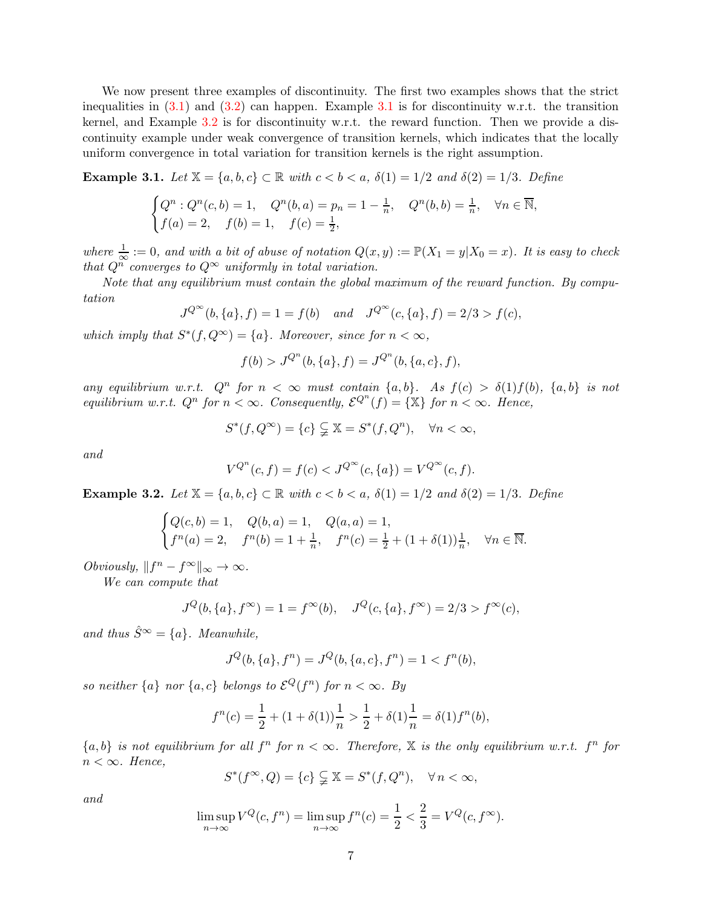We now present three examples of discontinuity. The first two examples shows that the strict inequalities in  $(3.1)$  $(3.1)$  $(3.1)$  and  $(3.2)$  can happen. Example 3.1 is for discontinuity w.r.t. the transition kernel, and Example [3.2](#page-6-1) is for discontinuity w.r.t. the reward function. Then we provide a discontinuity example under weak convergence of transition kernels, which indicates that the locally uniform convergence in total variation for transition kernels is the right assumption.

<span id="page-6-0"></span>Example 3.1. Let  $\mathbb{X} = \{a, b, c\} \subset \mathbb{R}$  with  $c < b < a$ ,  $\delta(1) = 1/2$  and  $\delta(2) = 1/3$ . Define

$$
\begin{cases} Q^n : Q^n(c, b) = 1, & Q^n(b, a) = p_n = 1 - \frac{1}{n}, & Q^n(b, b) = \frac{1}{n}, & \forall n \in \overline{\mathbb{N}}, \\ f(a) = 2, & f(b) = 1, & f(c) = \frac{1}{2}, \end{cases}
$$

where  $\frac{1}{\infty} := 0$ , and with a bit of abuse of notation  $Q(x, y) := \mathbb{P}(X_1 = y | X_0 = x)$ . It is easy to check that  $Q^n$  converges to  $Q^{\infty}$  uniformly in total variation.

Note that any equilibrium must contain the global maximum of the reward function. By computation

$$
J^{Q^{\infty}}(b,\{a\},f) = 1 = f(b) \quad and \quad J^{Q^{\infty}}(c,\{a\},f) = 2/3 > f(c),
$$

which imply that  $S^*(f, Q^{\infty}) = \{a\}$ . Moreover, since for  $n < \infty$ ,

$$
f(b) > J^{Q^n}(b, \{a\}, f) = J^{Q^n}(b, \{a, c\}, f),
$$

any equilibrium w.r.t.  $Q^n$  for  $n < \infty$  must contain  $\{a,b\}$ . As  $f(c) > \delta(1)f(b)$ ,  $\{a,b\}$  is not equilibrium w.r.t.  $Q^n$  for  $n < \infty$ . Consequently,  $\mathcal{E}^{Q^n}(f) = {\mathbb{X}}$  for  $n < \infty$ . Hence,

$$
S^*(f, Q^{\infty}) = \{c\} \subsetneq \mathbb{X} = S^*(f, Q^n), \quad \forall n < \infty,
$$

and

$$
V^{Q^n}(c, f) = f(c) < J^{Q^\infty}(c, \{a\}) = V^{Q^\infty}(c, f).
$$

<span id="page-6-1"></span>Example 3.2. Let  $\mathbb{X} = \{a, b, c\} \subset \mathbb{R}$  with  $c < b < a$ ,  $\delta(1) = 1/2$  and  $\delta(2) = 1/3$ . Define

$$
\begin{cases} Q(c,b) = 1, & Q(b,a) = 1, \\ f^{n}(a) = 2, & f^{n}(b) = 1 + \frac{1}{n}, \\ f^{n}(c) = \frac{1}{2} + (1 + \delta(1))\frac{1}{n}, \quad \forall n \in \overline{\mathbb{N}}.\end{cases}
$$

Obviously,  $||f^n - f^{\infty}||_{\infty} \to \infty$ .

We can compute that

$$
J^{Q}(b, \{a\}, f^{\infty}) = 1 = f^{\infty}(b), \quad J^{Q}(c, \{a\}, f^{\infty}) = 2/3 > f^{\infty}(c),
$$

and thus  $\hat{S}^{\infty} = \{a\}$ . Meanwhile,

$$
J^{Q}(b, \{a\}, f^{n}) = J^{Q}(b, \{a, c\}, f^{n}) = 1 < f^{n}(b),
$$

so neither  $\{a\}$  nor  $\{a, c\}$  belongs to  $\mathcal{E}^Q(f^n)$  for  $n < \infty$ . By

$$
f^{n}(c) = \frac{1}{2} + (1 + \delta(1))\frac{1}{n} > \frac{1}{2} + \delta(1)\frac{1}{n} = \delta(1)f^{n}(b),
$$

 ${a,b}$  is not equilibrium for all  $f^n$  for  $n < \infty$ . Therefore, X is the only equilibrium w.r.t.  $f^n$  for  $n < \infty$ . Hence,

$$
S^*(f^{\infty}, Q) = \{c\} \subsetneq \mathbb{X} = S^*(f, Q^n), \quad \forall n < \infty,
$$

and

$$
\limsup_{n \to \infty} V^Q(c, f^n) = \limsup_{n \to \infty} f^n(c) = \frac{1}{2} < \frac{2}{3} = V^Q(c, f^\infty).
$$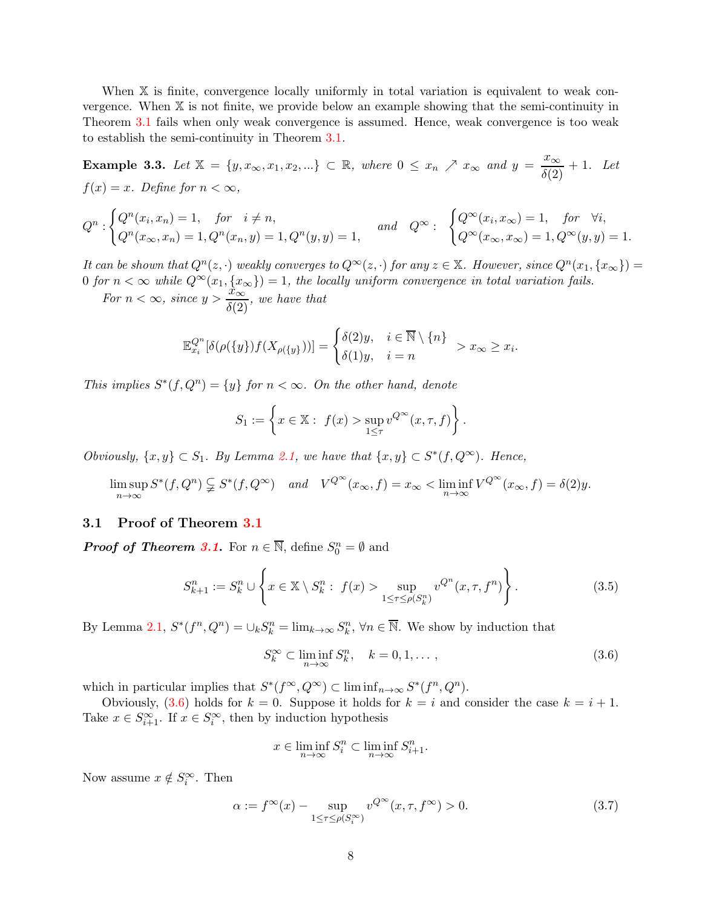When X is finite, convergence locally uniformly in total variation is equivalent to weak convergence. When X is not finite, we provide below an example showing that the semi-continuity in Theorem [3.1](#page-5-1) fails when only weak convergence is assumed. Hence, weak convergence is too weak to establish the semi-continuity in Theorem [3.1.](#page-5-1)

**Example 3.3.** Let  $\mathbb{X} = \{y, x_{\infty}, x_1, x_2, ...\} \subset \mathbb{R}$ , where  $0 \leq x_n \nearrow x_{\infty}$  and  $y = \frac{x_{\infty}}{\delta(2)} + 1$ . Let  $f(x) = x$ . Define for  $n < \infty$ ,

$$
Q^n : \begin{cases} Q^n(x_i, x_n) = 1, & \text{for } i \neq n, \\ Q^n(x_{\infty}, x_n) = 1, Q^n(x_n, y) = 1, Q^n(y, y) = 1, \end{cases} and \quad Q^\infty : \begin{cases} Q^\infty(x_i, x_\infty) = 1, & \text{for } \forall i, \\ Q^\infty(x_{\infty}, x_\infty) = 1, Q^\infty(y, y) = 1. \end{cases}
$$

It can be shown that  $Q^{n}(z, \cdot)$  weakly converges to  $Q^{\infty}(z, \cdot)$  for any  $z \in \mathbb{X}$ . However, since  $Q^{n}(x_1, \{x_{\infty}\}) =$ 0 for  $n < \infty$  while  $Q^{\infty}(x_1, \{x_{\infty}\}) = 1$ , the locally uniform convergence in total variation fails.

For  $n < \infty$ , since  $y > \frac{x_{\infty}}{\delta(2)}$ , we have that

$$
\mathbb{E}_{x_i}^{\mathbb{Q}^n}[\delta(\rho(\{y\})f(X_{\rho(\{y\}}))] = \begin{cases} \delta(2)y, & i \in \overline{\mathbb{N}} \setminus \{n\} \\ \delta(1)y, & i = n \end{cases} > x_{\infty} \ge x_i.
$$

This implies  $S^*(f, Q^n) = \{y\}$  for  $n < \infty$ . On the other hand, denote

$$
S_1 := \left\{ x \in \mathbb{X} : f(x) > \sup_{1 \le \tau} v^{Q^{\infty}}(x, \tau, f) \right\}.
$$

Obviously,  $\{x, y\} \subset S_1$ . By Lemma [2.1,](#page-4-0) we have that  $\{x, y\} \subset S^*(f, Q^{\infty})$ . Hence,

$$
\limsup_{n \to \infty} S^*(f, Q^n) \subsetneq S^*(f, Q^\infty) \quad and \quad V^{Q^\infty}(x_\infty, f) = x_\infty < \liminf_{n \to \infty} V^{Q^\infty}(x_\infty, f) = \delta(2) y.
$$

#### <span id="page-7-0"></span>3.1 Proof of Theorem [3.1](#page-5-1)

**Proof of Theorem [3.1](#page-5-1).** For  $n \in \overline{\mathbb{N}}$ , define  $S_0^n = \emptyset$  and

$$
S_{k+1}^{n} := S_{k}^{n} \cup \left\{ x \in \mathbb{X} \setminus S_{k}^{n} : f(x) > \sup_{1 \le \tau \le \rho(S_{k}^{n})} v^{Q^{n}}(x, \tau, f^{n}) \right\}.
$$
 (3.5)

By Lemma [2.1,](#page-4-0)  $S^*(f^n, Q^n) = \bigcup_k S_k^n = \lim_{k \to \infty} S_k^n$ ,  $\forall n \in \overline{\mathbb{N}}$ . We show by induction that

<span id="page-7-1"></span>
$$
S_k^{\infty} \subset \liminf_{n \to \infty} S_k^n, \quad k = 0, 1, \dots,
$$
\n(3.6)

which in particular implies that  $S^*(f^{\infty}, Q^{\infty}) \subset \liminf_{n \to \infty} S^*(f^n, Q^n)$ .

Obviously, [\(3.6\)](#page-7-1) holds for  $k = 0$ . Suppose it holds for  $k = i$  and consider the case  $k = i + 1$ . Take  $x \in S_{i+1}^{\infty}$ . If  $x \in S_i^{\infty}$ , then by induction hypothesis

$$
x \in \liminf_{n \to \infty} S_i^n \subset \liminf_{n \to \infty} S_{i+1}^n.
$$

Now assume  $x \notin S_i^{\infty}$ . Then

<span id="page-7-2"></span>
$$
\alpha := f^{\infty}(x) - \sup_{1 \le \tau \le \rho(S_i^{\infty})} v^{Q^{\infty}}(x, \tau, f^{\infty}) > 0.
$$
\n(3.7)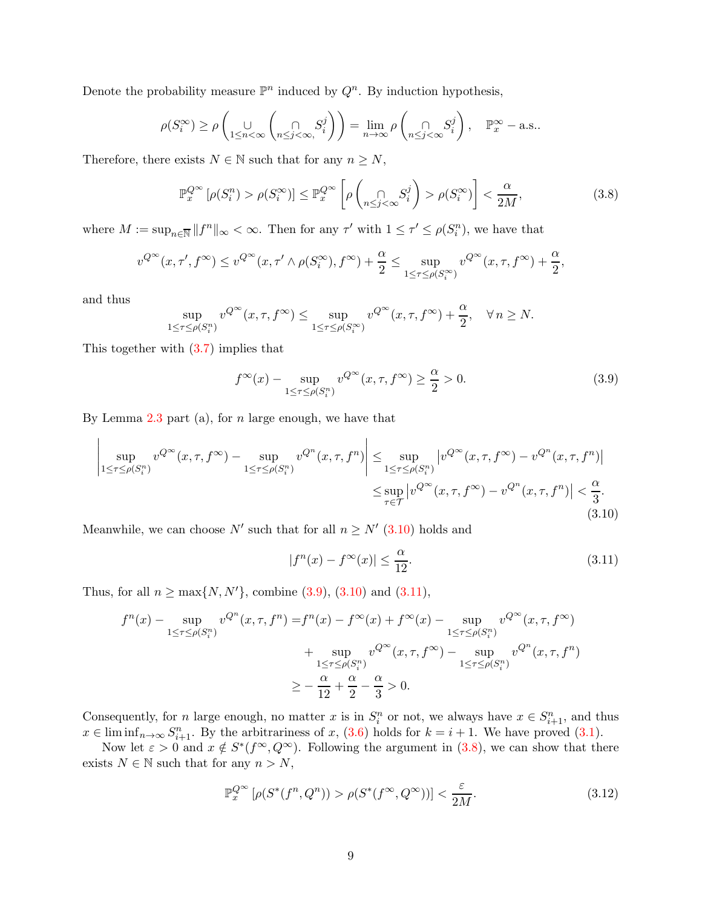Denote the probability measure  $\mathbb{P}^n$  induced by  $Q^n$ . By induction hypothesis,

$$
\rho(S_i^{\infty}) \ge \rho\left(\bigcup_{1 \le n < \infty} \left(\bigcap_{n \le j < \infty} S_i^j\right)\right) = \lim_{n \to \infty} \rho\left(\bigcap_{n \le j < \infty} S_i^j\right), \quad \mathbb{P}_x^{\infty} - \text{a.s.}.
$$

Therefore, there exists  $N \in \mathbb{N}$  such that for any  $n \geq N$ ,

<span id="page-8-3"></span>
$$
\mathbb{P}_x^{Q^{\infty}}\left[\rho(S_i^n) > \rho(S_i^{\infty})\right] \le \mathbb{P}_x^{Q^{\infty}}\left[\rho\left(\bigcap_{n \le j < \infty} S_i^j\right) > \rho(S_i^{\infty})\right] < \frac{\alpha}{2M},\tag{3.8}
$$

where  $M := \sup_{n \in \mathbb{N}} ||f^n||_{\infty} < \infty$ . Then for any  $\tau'$  with  $1 \leq \tau' \leq \rho(S_i^n)$ , we have that

$$
v^{Q^{\infty}}(x,\tau',f^{\infty}) \le v^{Q^{\infty}}(x,\tau' \wedge \rho(S_i^{\infty}),f^{\infty}) + \frac{\alpha}{2} \le \sup_{1 \le \tau \le \rho(S_i^{\infty})} v^{Q^{\infty}}(x,\tau,f^{\infty}) + \frac{\alpha}{2},
$$

and thus

$$
\sup_{1 \le \tau \le \rho(S_i^n)} v^{Q^{\infty}}(x, \tau, f^{\infty}) \le \sup_{1 \le \tau \le \rho(S_i^{\infty})} v^{Q^{\infty}}(x, \tau, f^{\infty}) + \frac{\alpha}{2}, \quad \forall n \ge N.
$$

This together with [\(3.7\)](#page-7-2) implies that

<span id="page-8-1"></span>
$$
f^{\infty}(x) - \sup_{1 \le \tau \le \rho(S_i^n)} v^{Q^{\infty}}(x,\tau,f^{\infty}) \ge \frac{\alpha}{2} > 0.
$$
 (3.9)

By Lemma  $2.3$  part (a), for *n* large enough, we have that

<span id="page-8-0"></span>
$$
\left| \sup_{1 \leq \tau \leq \rho(S_i^n)} v^{Q^{\infty}}(x,\tau,f^{\infty}) - \sup_{1 \leq \tau \leq \rho(S_i^n)} v^{Q^n}(x,\tau,f^n) \right| \leq \sup_{1 \leq \tau \leq \rho(S_i^n)} \left| v^{Q^{\infty}}(x,\tau,f^{\infty}) - v^{Q^n}(x,\tau,f^n) \right|
$$
  

$$
\leq \sup_{\tau \in \mathcal{T}} \left| v^{Q^{\infty}}(x,\tau,f^{\infty}) - v^{Q^n}(x,\tau,f^n) \right| < \frac{\alpha}{3}.
$$
\n(3.10)

Meanwhile, we can choose N' such that for all  $n \geq N'$  [\(3.10\)](#page-8-0) holds and

<span id="page-8-2"></span>
$$
|f^{n}(x) - f^{\infty}(x)| \le \frac{\alpha}{12}.\tag{3.11}
$$

Thus, for all  $n \ge \max\{N, N'\}$ , combine [\(3.9\)](#page-8-1), [\(3.10\)](#page-8-0) and [\(3.11\)](#page-8-2),

$$
f^{n}(x) - \sup_{1 \leq \tau \leq \rho(S_{i}^{n})} v^{Q^{n}}(x, \tau, f^{n}) = f^{n}(x) - f^{\infty}(x) + f^{\infty}(x) - \sup_{1 \leq \tau \leq \rho(S_{i}^{n})} v^{Q^{\infty}}(x, \tau, f^{\infty}) + \sup_{1 \leq \tau \leq \rho(S_{i}^{n})} v^{Q^{\infty}}(x, \tau, f^{\infty}) - \sup_{1 \leq \tau \leq \rho(S_{i}^{n})} v^{Q^{n}}(x, \tau, f^{n})
$$
  
 
$$
\geq -\frac{\alpha}{12} + \frac{\alpha}{2} - \frac{\alpha}{3} > 0.
$$

Consequently, for *n* large enough, no matter x is in  $S_i^n$  or not, we always have  $x \in S_{i+1}^n$ , and thus  $x \in \liminf_{n \to \infty} S_{i+1}^n$ . By the arbitrariness of x, [\(3.6\)](#page-7-1) holds for  $k = i + 1$ . We have proved [\(3.1\)](#page-5-4).

Now let  $\varepsilon > 0$  and  $x \notin S^*(f^{\infty}, Q^{\infty})$ . Following the argument in  $(3.8)$ , we can show that there exists  $N \in \mathbb{N}$  such that for any  $n > N$ ,

<span id="page-8-4"></span>
$$
\mathbb{P}_x^{Q^{\infty}}\left[\rho(S^*(f^n, Q^n)) > \rho(S^*(f^{\infty}, Q^{\infty}))\right] < \frac{\varepsilon}{2M}.
$$
\n(3.12)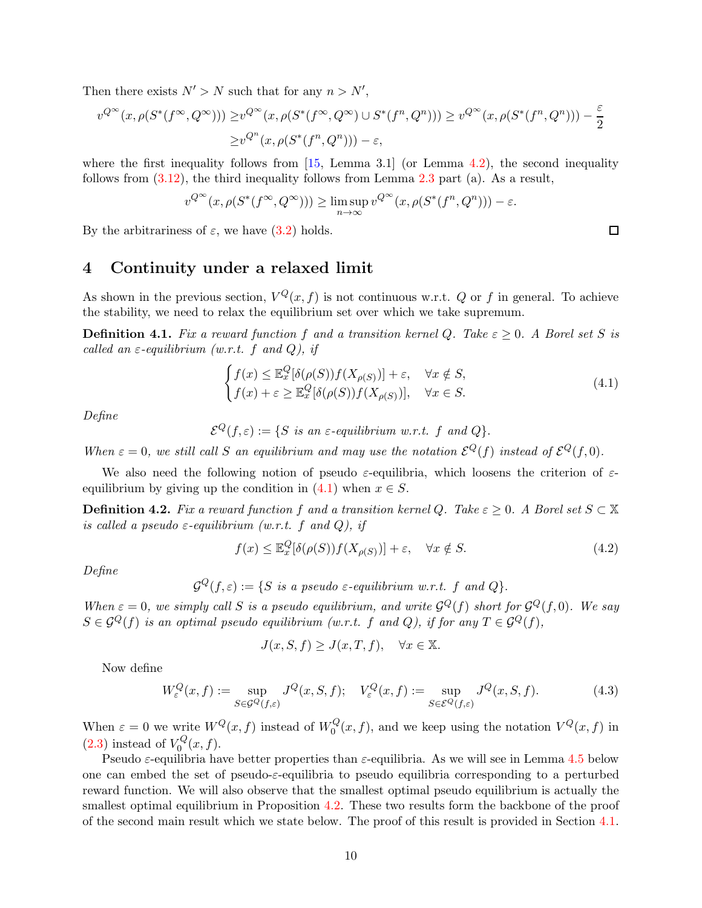Then there exists  $N' > N$  such that for any  $n > N'$ ,

$$
v^{Q^{\infty}}(x,\rho(S^*(f^{\infty},Q^{\infty}))) \geq v^{Q^{\infty}}(x,\rho(S^*(f^{\infty},Q^{\infty}) \cup S^*(f^n,Q^n))) \geq v^{Q^{\infty}}(x,\rho(S^*(f^n,Q^n))) - \frac{\varepsilon}{2}
$$
  

$$
\geq v^{Q^n}(x,\rho(S^*(f^n,Q^n))) - \varepsilon,
$$

where the first inequality follows from  $[15, \text{ Lemma } 3.1]$  (or Lemma [4.2\)](#page-12-3), the second inequality follows from  $(3.12)$ , the third inequality follows from Lemma [2.3](#page-4-2) part (a). As a result,

$$
v^{Q^{\infty}}(x,\rho(S^*(f^{\infty},Q^{\infty}))) \geq \limsup_{n \to \infty} v^{Q^{\infty}}(x,\rho(S^*(f^n,Q^n))) - \varepsilon.
$$

<span id="page-9-0"></span>By the arbitrariness of  $\varepsilon$ , we have  $(3.2)$  holds.

### 4 Continuity under a relaxed limit

As shown in the previous section,  $V^Q(x, f)$  is not continuous w.r.t. Q or f in general. To achieve the stability, we need to relax the equilibrium set over which we take supremum.

<span id="page-9-3"></span>**Definition 4.1.** Fix a reward function f and a transition kernel Q. Take  $\varepsilon \geq 0$ . A Borel set S is called an  $\varepsilon$ -equilibrium (w.r.t. f and Q), if

<span id="page-9-2"></span>
$$
\begin{cases}\nf(x) \le \mathbb{E}_x^Q[\delta(\rho(S))f(X_{\rho(S)})] + \varepsilon, & \forall x \notin S, \\
f(x) + \varepsilon \ge \mathbb{E}_x^Q[\delta(\rho(S))f(X_{\rho(S)})], & \forall x \in S.\n\end{cases}
$$
\n(4.1)

Define

 $\mathcal{E}^Q(f,\varepsilon):=\{S\ \textit{is an $\varepsilon$-equilibrium w.r.t. $f$ and $Q$}\}.$ 

When  $\varepsilon = 0$ , we still call S an equilibrium and may use the notation  $\mathcal{E}^Q(f)$  instead of  $\mathcal{E}^Q(f,0)$ .

We also need the following notion of pseudo  $\varepsilon$ -equilibria, which loosens the criterion of  $\varepsilon$ equilibrium by giving up the condition in  $(4.1)$  when  $x \in S$ .

<span id="page-9-1"></span>**Definition 4.2.** Fix a reward function f and a transition kernel Q. Take  $\varepsilon \geq 0$ . A Borel set  $S \subset \mathbb{X}$ is called a pseudo  $\varepsilon$ -equilibrium (w.r.t. f and Q), if

$$
f(x) \le \mathbb{E}_x^Q[\delta(\rho(S))f(X_{\rho(S)})] + \varepsilon, \quad \forall x \notin S.
$$
\n(4.2)

Define

$$
\mathcal{G}^Q(f,\varepsilon):=\{S \ \text{is a pseudo $\varepsilon$-equilibrium w.r.t. } f \text{ and } Q\}.
$$

When  $\varepsilon = 0$ , we simply call S is a pseudo equilibrium, and write  $\mathcal{G}^Q(f)$  short for  $\mathcal{G}^Q(f,0)$ . We say  $S \in \mathcal{G}^Q(f)$  is an optimal pseudo equilibrium (w.r.t. f and Q), if for any  $T \in \mathcal{G}^Q(f)$ ,

$$
J(x, S, f) \ge J(x, T, f), \quad \forall x \in \mathbb{X}.
$$

Now define

<span id="page-9-4"></span>
$$
W_{\varepsilon}^{Q}(x,f) := \sup_{S \in \mathcal{G}^{Q}(f,\varepsilon)} J^{Q}(x,S,f); \quad V_{\varepsilon}^{Q}(x,f) := \sup_{S \in \mathcal{E}^{Q}(f,\varepsilon)} J^{Q}(x,S,f). \tag{4.3}
$$

When  $\varepsilon = 0$  we write  $W^{Q}(x, f)$  instead of  $W_{0}^{Q}$  $\mathcal{L}_0^Q(x, f)$ , and we keep using the notation  $V^Q(x, f)$  in  $(2.3)$  instead of  $V_0^Q$  $\int_{0}^{\mathbf{Q}}(x,f).$ 

Pseudo  $\varepsilon$ -equilibria have better properties than  $\varepsilon$ -equilibria. As we will see in Lemma [4.5](#page-14-0) below one can embed the set of pseudo- $\varepsilon$ -equilibria to pseudo equilibria corresponding to a perturbed reward function. We will also observe that the smallest optimal pseudo equilibrium is actually the smallest optimal equilibrium in Proposition [4.2.](#page-12-2) These two results form the backbone of the proof of the second main result which we state below. The proof of this result is provided in Section [4.1.](#page-12-1)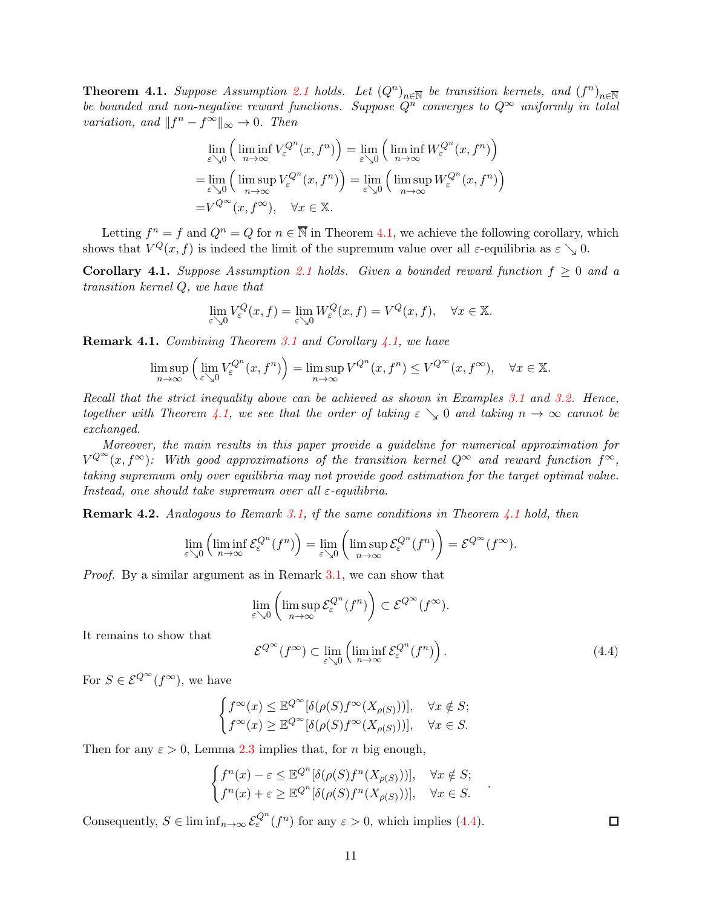<span id="page-10-0"></span>**Theorem 4.1.** Suppose Assumption [2.1](#page-2-1) holds. Let  $(Q^n)_{n\in\overline{N}}$  be transition kernels, and  $(f^n)_{n\in\overline{N}}$ be bounded and non-negative reward functions. Suppose  $Q^{\overline{n}}$  converges to  $Q^{\infty}$  uniformly in total variation, and  $||f^n - f^{\infty}||_{\infty} \to 0$ . Then

$$
\lim_{\varepsilon \searrow 0} \left( \liminf_{n \to \infty} V_{\varepsilon}^{Q^n}(x, f^n) \right) = \lim_{\varepsilon \searrow 0} \left( \liminf_{n \to \infty} W_{\varepsilon}^{Q^n}(x, f^n) \right)
$$

$$
= \lim_{\varepsilon \searrow 0} \left( \limsup_{n \to \infty} V_{\varepsilon}^{Q^n}(x, f^n) \right) = \lim_{\varepsilon \searrow 0} \left( \limsup_{n \to \infty} W_{\varepsilon}^{Q^n}(x, f^n) \right)
$$

$$
= V^{Q^{\infty}}(x, f^{\infty}), \quad \forall x \in \mathbb{X}.
$$

Letting  $f^n = f$  and  $Q^n = Q$  for  $n \in \overline{\mathbb{N}}$  in Theorem [4.1,](#page-10-0) we achieve the following corollary, which shows that  $V^{Q}(x, f)$  is indeed the limit of the supremum value over all  $\varepsilon$ -equilibria as  $\varepsilon \searrow 0$ .

<span id="page-10-2"></span>Corollary 4.1. Suppose Assumption [2.1](#page-2-1) holds. Given a bounded reward function  $f \geq 0$  and a transition kernel Q, we have that

$$
\lim_{\varepsilon \searrow 0} V_{\varepsilon}^{Q}(x, f) = \lim_{\varepsilon \searrow 0} W_{\varepsilon}^{Q}(x, f) = V^{Q}(x, f), \quad \forall x \in \mathbb{X}.
$$

<span id="page-10-1"></span>**Remark 4.1.** Combining Theorem [3.1](#page-5-1) and Corollary  $\angle 4.1$ , we have

$$
\limsup_{n \to \infty} \left( \lim_{\varepsilon \searrow 0} V_{\varepsilon}^{Q^n}(x, f^n) \right) = \limsup_{n \to \infty} V^{Q^n}(x, f^n) \le V^{Q^{\infty}}(x, f^{\infty}), \quad \forall x \in \mathbb{X}.
$$

Recall that the strict inequality above can be achieved as shown in Examples [3.1](#page-6-0) and [3.2.](#page-6-1) Hence, together with Theorem [4.1,](#page-10-0) we see that the order of taking  $\varepsilon \searrow 0$  and taking  $n \to \infty$  cannot be exchanged.

Moreover, the main results in this paper provide a guideline for numerical approximation for  $V^{Q^{\infty}}(x, f^{\infty})$ : With good approximations of the transition kernel  $Q^{\infty}$  and reward function  $f^{\infty}$ , taking supremum only over equilibria may not provide good estimation for the target optimal value. Instead, one should take supremum over all  $\varepsilon$ -equilibria.

**Remark 4.2.** Analogous to Remark [3.1,](#page-5-6) if the same conditions in Theorem [4.1](#page-10-0) hold, then

$$
\lim_{\varepsilon \searrow 0} \left( \liminf_{n \to \infty} \mathcal{E}_{\varepsilon}^{Q^n}(f^n) \right) = \lim_{\varepsilon \searrow 0} \left( \limsup_{n \to \infty} \mathcal{E}_{\varepsilon}^{Q^n}(f^n) \right) = \mathcal{E}^{Q^{\infty}}(f^{\infty}).
$$

Proof. By a similar argument as in Remark [3.1,](#page-5-6) we can show that

$$
\lim_{\varepsilon \searrow 0} \left( \limsup_{n \to \infty} \mathcal{E}_{\varepsilon}^{Q^n}(f^n) \right) \subset \mathcal{E}^{Q^{\infty}}(f^{\infty}).
$$

It remains to show that

<span id="page-10-3"></span>
$$
\mathcal{E}^{Q^{\infty}}(f^{\infty}) \subset \lim_{\varepsilon \searrow 0} \left( \liminf_{n \to \infty} \mathcal{E}_{\varepsilon}^{Q^n}(f^n) \right). \tag{4.4}
$$

.

For  $S \in \mathcal{E}^{\mathcal{Q}^{\infty}}(f^{\infty})$ , we have

$$
\begin{cases} f^\infty(x)\leq \mathbb{E}^{Q^\infty}[\delta(\rho(S)f^\infty(X_{\rho(S)}))], & \forall x\notin S;\\ f^\infty(x)\geq \mathbb{E}^{Q^\infty}[\delta(\rho(S)f^\infty(X_{\rho(S)}))], & \forall x\in S. \end{cases}
$$

Then for any  $\varepsilon > 0$ , Lemma [2.3](#page-4-2) implies that, for *n* big enough,

$$
\begin{cases}\nf^n(x) - \varepsilon \le \mathbb{E}^{Q^n}[\delta(\rho(S)f^n(X_{\rho(S)}))], & \forall x \notin S; \\
f^n(x) + \varepsilon \ge \mathbb{E}^{Q^n}[\delta(\rho(S)f^n(X_{\rho(S)}))], & \forall x \in S.\n\end{cases}
$$

Consequently,  $S \in \liminf_{n \to \infty} \mathcal{E}_{\varepsilon}^{Q^n}(f^n)$  for any  $\varepsilon > 0$ , which implies [\(4.4\)](#page-10-3).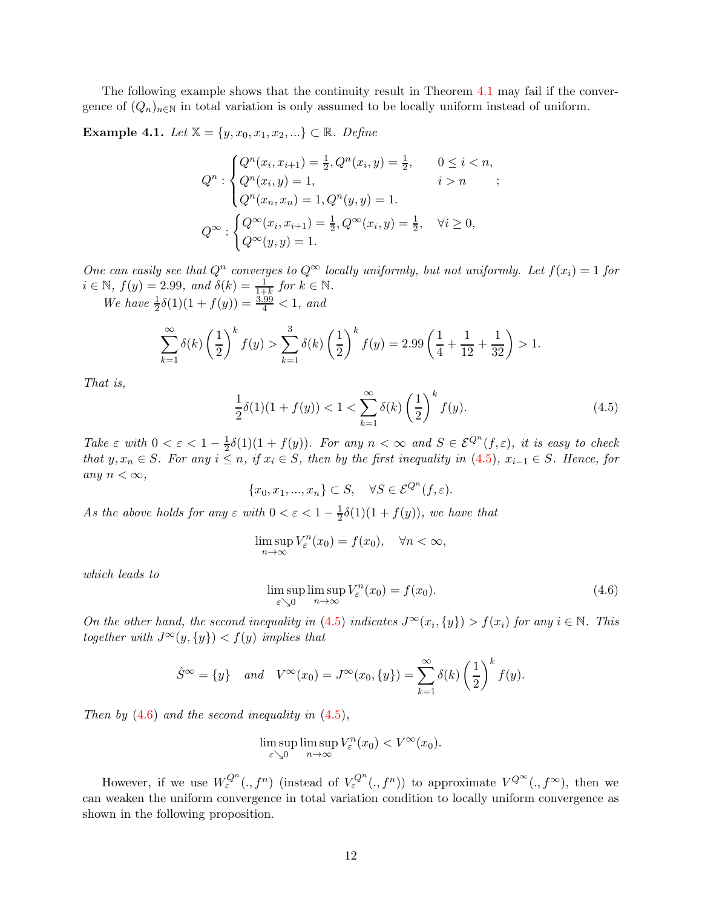The following example shows that the continuity result in Theorem [4.1](#page-10-0) may fail if the convergence of  $(Q_n)_{n\in\mathbb{N}}$  in total variation is only assumed to be locally uniform instead of uniform.

<span id="page-11-0"></span>**Example 4.1.** Let  $X = \{y, x_0, x_1, x_2, ...\} \subset \mathbb{R}$ . Define

$$
Q^n: \begin{cases} Q^n(x_i, x_{i+1}) = \frac{1}{2}, Q^n(x_i, y) = \frac{1}{2}, & 0 \le i < n, \\ Q^n(x_i, y) = 1, & i > n \\ Q^n(x_n, x_n) = 1, Q^n(y, y) = 1. \end{cases};
$$
  

$$
Q^\infty: \begin{cases} Q^\infty(x_i, x_{i+1}) = \frac{1}{2}, Q^\infty(x_i, y) = \frac{1}{2}, & \forall i \ge 0, \\ Q^\infty(y, y) = 1. \end{cases}
$$

One can easily see that  $Q^n$  converges to  $Q^{\infty}$  locally uniformly, but not uniformly. Let  $f(x_i) = 1$  for  $i \in \mathbb{N}, f(y) = 2.99, \text{ and } \delta(k) = \frac{1}{1+k} \text{ for } k \in \mathbb{N}.$ We have  $\frac{1}{2}\delta(1)(1+f(y)) = \frac{3.99}{4} < 1$ , and

$$
\sum_{k=1}^{\infty} \delta(k) \left(\frac{1}{2}\right)^k f(y) > \sum_{k=1}^3 \delta(k) \left(\frac{1}{2}\right)^k f(y) = 2.99 \left(\frac{1}{4} + \frac{1}{12} + \frac{1}{32}\right) > 1.
$$

That is,

<span id="page-11-1"></span>
$$
\frac{1}{2}\delta(1)(1+f(y)) < 1 < \sum_{k=1}^{\infty} \delta(k) \left(\frac{1}{2}\right)^k f(y). \tag{4.5}
$$

Take  $\varepsilon$  with  $0 < \varepsilon < 1 - \frac{1}{2}$  $\frac{1}{2}\delta(1)(1+f(y))$ . For any  $n < \infty$  and  $S \in \mathcal{E}^{Q^n}(f,\varepsilon)$ , it is easy to check that y,  $x_n \in S$ . For any  $i \leq n$ , if  $x_i \in S$ , then by the first inequality in [\(4.5\)](#page-11-1),  $x_{i-1} \in S$ . Hence, for any  $n < \infty$ ,

$$
\{x_0, x_1, ..., x_n\} \subset S, \quad \forall S \in \mathcal{E}^{Q^n}(f, \varepsilon).
$$

As the above holds for any  $\varepsilon$  with  $0 < \varepsilon < 1 - \frac{1}{2}$  $\frac{1}{2}\delta(1)(1+f(y))$ , we have that

$$
\limsup_{n \to \infty} V_{\varepsilon}^n(x_0) = f(x_0), \quad \forall n < \infty,
$$

which leads to

<span id="page-11-2"></span>
$$
\limsup_{\varepsilon \searrow 0} \limsup_{n \to \infty} V_{\varepsilon}^n(x_0) = f(x_0). \tag{4.6}
$$

On the other hand, the second inequality in [\(4.5\)](#page-11-1) indicates  $J^{\infty}(x_i, \{y\}) > f(x_i)$  for any  $i \in \mathbb{N}$ . This together with  $J^{\infty}(y, \{y\}) < f(y)$  implies that

$$
\hat{S}^{\infty} = \{y\}
$$
 and  $V^{\infty}(x_0) = J^{\infty}(x_0, \{y\}) = \sum_{k=1}^{\infty} \delta(k) \left(\frac{1}{2}\right)^k f(y).$ 

Then by  $(4.6)$  and the second inequality in  $(4.5)$ ,

$$
\limsup_{\varepsilon \searrow 0} \limsup_{n \to \infty} V_{\varepsilon}^n(x_0) < V^{\infty}(x_0).
$$

However, if we use  $W^{Q^n}_\varepsilon(.,f^n)$  (instead of  $V^{Q^n}_\varepsilon(.,f^n)$ ) to approximate  $V^{Q^{\infty}}(.,f^{\infty})$ , then we can weaken the uniform convergence in total variation condition to locally uniform convergence as shown in the following proposition.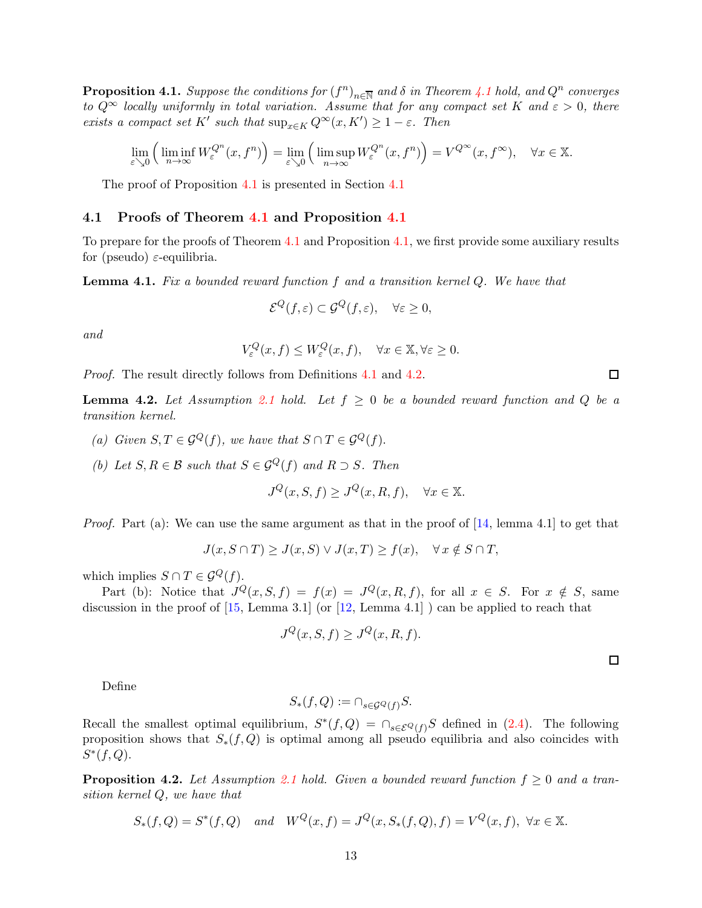<span id="page-12-0"></span>**Proposition [4.1](#page-10-0).** Suppose the conditions for  $(f^n)_{n\in\overline{\mathbb{N}}}$  and  $\delta$  in Theorem 4.1 hold, and  $Q^n$  converges to  $Q^{\infty}$  locally uniformly in total variation. Assume that for any compact set K and  $\varepsilon > 0$ , there exists a compact set K' such that  $\sup_{x \in K} Q^{\infty}(x, K') \geq 1 - \varepsilon$ . Then

$$
\lim_{\varepsilon \searrow 0} \left( \liminf_{n \to \infty} W_{\varepsilon}^{Q^n}(x, f^n) \right) = \lim_{\varepsilon \searrow 0} \left( \limsup_{n \to \infty} W_{\varepsilon}^{Q^n}(x, f^n) \right) = V^{Q^{\infty}}(x, f^{\infty}), \quad \forall x \in \mathbb{X}.
$$

The proof of Proposition [4.1](#page-12-0) is presented in Section [4.1](#page-12-1)

#### <span id="page-12-1"></span>4.1 Proofs of Theorem [4.1](#page-10-0) and Proposition [4.1](#page-12-0)

To prepare for the proofs of Theorem [4.1](#page-10-0) and Proposition [4.1,](#page-12-0) we first provide some auxiliary results for (pseudo)  $\varepsilon$ -equilibria.

<span id="page-12-4"></span>**Lemma 4.1.** Fix a bounded reward function f and a transition kernel  $Q$ . We have that

$$
\mathcal{E}^Q(f,\varepsilon) \subset \mathcal{G}^Q(f,\varepsilon), \quad \forall \varepsilon \ge 0,
$$

and

$$
V_{\varepsilon}^{Q}(x,f) \le W_{\varepsilon}^{Q}(x,f), \quad \forall x \in \mathbb{X}, \forall \varepsilon \ge 0.
$$

Proof. The result directly follows from Definitions [4.1](#page-9-3) and [4.2.](#page-9-1)

<span id="page-12-3"></span>**Lemma 4.2.** Let Assumption [2.1](#page-2-1) hold. Let  $f \ge 0$  be a bounded reward function and Q be a transition kernel.

- (a) Given  $S, T \in \mathcal{G}^Q(f)$ , we have that  $S \cap T \in \mathcal{G}^Q(f)$ .
- (b) Let  $S, R \in \mathcal{B}$  such that  $S \in \mathcal{G}^Q(f)$  and  $R \supset S$ . Then

$$
J^{Q}(x, S, f) \ge J^{Q}(x, R, f), \quad \forall x \in \mathbb{X}.
$$

*Proof.* Part (a): We can use the same argument as that in the proof of  $[14]$ , lemma 4.1 to get that

$$
J(x, S \cap T) \ge J(x, S) \lor J(x, T) \ge f(x), \quad \forall x \notin S \cap T,
$$

which implies  $S \cap T \in \mathcal{G}^Q(f)$ .

Part (b): Notice that  $J^Q(x, S, f) = f(x) = J^Q(x, R, f)$ , for all  $x \in S$ . For  $x \notin S$ , same discussion in the proof of  $[15, \text{Lemma } 3.1]$  (or  $[12, \text{Lemma } 4.1]$ ) can be applied to reach that

$$
J^{Q}(x, S, f) \ge J^{Q}(x, R, f).
$$

 $\Box$ 

 $\Box$ 

Define

$$
S_*(f, Q) := \cap_{s \in \mathcal{G}^Q(f)} S.
$$

Recall the smallest optimal equilibrium,  $S^*(f, Q) = \bigcap_{s \in \mathcal{E}^Q(f)} S$  defined in [\(2.4\)](#page-3-1). The following proposition shows that  $S_*(f, Q)$  is optimal among all pseudo equilibria and also coincides with  $S^*(f, Q)$ .

<span id="page-12-2"></span>**Proposition 4.2.** Let Assumption [2.1](#page-2-1) hold. Given a bounded reward function  $f \ge 0$  and a transition kernel Q, we have that

$$
S_*(f, Q) = S^*(f, Q)
$$
 and  $W^Q(x, f) = J^Q(x, S_*(f, Q), f) = V^Q(x, f), \forall x \in \mathbb{X}.$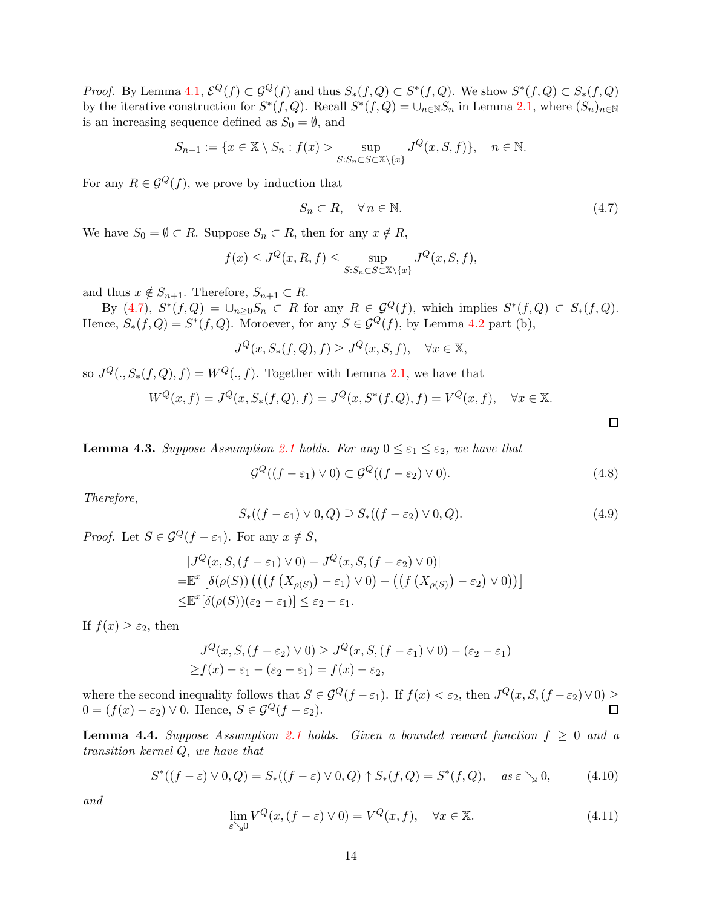*Proof.* By Lemma [4.1,](#page-12-4)  $\mathcal{E}^Q(f) \subset \mathcal{G}^Q(f)$  and thus  $S_*(f, Q) \subset S^*(f, Q)$ . We show  $S^*(f, Q) \subset S_*(f, Q)$ by the iterative construction for  $S^*(f, Q)$ . Recall  $S^*(f, Q) = \bigcup_{n \in \mathbb{N}} S_n$  in Lemma [2.1,](#page-4-0) where  $(S_n)_{n \in \mathbb{N}}$ is an increasing sequence defined as  $S_0 = \emptyset$ , and

$$
S_{n+1} := \{ x \in \mathbb{X} \setminus S_n : f(x) > \sup_{S: S_n \subset S \subset \mathbb{X} \setminus \{x\}} J^Q(x, S, f) \}, \quad n \in \mathbb{N}.
$$

For any  $R \in \mathcal{G}^Q(f)$ , we prove by induction that

<span id="page-13-0"></span>
$$
S_n \subset R, \quad \forall \, n \in \mathbb{N}.\tag{4.7}
$$

We have  $S_0 = \emptyset \subset R$ . Suppose  $S_n \subset R$ , then for any  $x \notin R$ ,

$$
f(x) \le J^{Q}(x, R, f) \le \sup_{S: S_n \subset S \subset \mathbb{X} \setminus \{x\}} J^{Q}(x, S, f),
$$

and thus  $x \notin S_{n+1}$ . Therefore,  $S_{n+1} \subset R$ .

By  $(4.7), S^*(f, Q) = \bigcup_{n \geq 0} S_n \subset R$  for any  $R \in \mathcal{G}^Q(f)$ , which implies  $S^*(f, Q) \subset S_*(f, Q)$ . Hence,  $S_*(f, Q) = S^*(f, Q)$ . Moroever, for any  $S \in \mathcal{G}^Q(f)$ , by Lemma [4.2](#page-12-3) part (b),

$$
J^{Q}(x, S_{*}(f, Q), f) \ge J^{Q}(x, S, f), \quad \forall x \in \mathbb{X},
$$

so  $J^Q(., S_*(f, Q), f) = W^Q(., f)$ . Together with Lemma [2.1,](#page-4-0) we have that

$$
W^{Q}(x,f) = J^{Q}(x, S_{*}(f,Q), f) = J^{Q}(x, S^{*}(f,Q), f) = V^{Q}(x,f), \quad \forall x \in \mathbb{X}.
$$

<span id="page-13-2"></span>**Lemma 4.3.** Suppose Assumption [2.1](#page-2-1) holds. For any  $0 \le \varepsilon_1 \le \varepsilon_2$ , we have that

$$
\mathcal{G}^Q((f-\varepsilon_1)\vee 0) \subset \mathcal{G}^Q((f-\varepsilon_2)\vee 0). \tag{4.8}
$$

 $\Box$ 

Therefore,

$$
S_*((f - \varepsilon_1) \vee 0, Q) \supseteq S_*((f - \varepsilon_2) \vee 0, Q). \tag{4.9}
$$

*Proof.* Let  $S \in \mathcal{G}^Q(f - \varepsilon_1)$ . For any  $x \notin S$ ,

$$
|J^{Q}(x, S, (f - \varepsilon_{1}) \vee 0) - J^{Q}(x, S, (f - \varepsilon_{2}) \vee 0)|
$$
  
=  $\mathbb{E}^{x} [\delta(\rho(S)) (((f (X_{\rho(S)}) - \varepsilon_{1}) \vee 0) - ((f (X_{\rho(S)}) - \varepsilon_{2}) \vee 0))]$   
 $\leq \mathbb{E}^{x} [\delta(\rho(S))(\varepsilon_{2} - \varepsilon_{1})] \leq \varepsilon_{2} - \varepsilon_{1}.$ 

If  $f(x) \geq \varepsilon_2$ , then

$$
J^{Q}(x, S, (f - \varepsilon_{2}) \vee 0) \geq J^{Q}(x, S, (f - \varepsilon_{1}) \vee 0) - (\varepsilon_{2} - \varepsilon_{1})
$$
  
\n
$$
\geq f(x) - \varepsilon_{1} - (\varepsilon_{2} - \varepsilon_{1}) = f(x) - \varepsilon_{2},
$$

where the second inequality follows that  $S \in \mathcal{G}^Q(f - \varepsilon_1)$ . If  $f(x) < \varepsilon_2$ , then  $J^Q(x, S, (f - \varepsilon_2) \vee 0) \ge$  $0 = (f(x) - \varepsilon_2) \vee 0$ . Hence,  $S \in \mathcal{G}^Q(f - \varepsilon_2)$ .  $\Box$ 

**Lemma 4.4.** Suppose Assumption [2.1](#page-2-1) holds. Given a bounded reward function  $f \geq 0$  and a transition kernel Q, we have that

<span id="page-13-1"></span>
$$
S^*((f-\varepsilon)\vee 0, Q) = S_*((f-\varepsilon)\vee 0, Q) \uparrow S_*(f, Q) = S^*(f, Q), \quad \text{as } \varepsilon \searrow 0,
$$
 (4.10)

and

<span id="page-13-3"></span>
$$
\lim_{\varepsilon \searrow 0} V^{Q}(x,(f-\varepsilon) \vee 0) = V^{Q}(x,f), \quad \forall x \in \mathbb{X}.
$$
\n(4.11)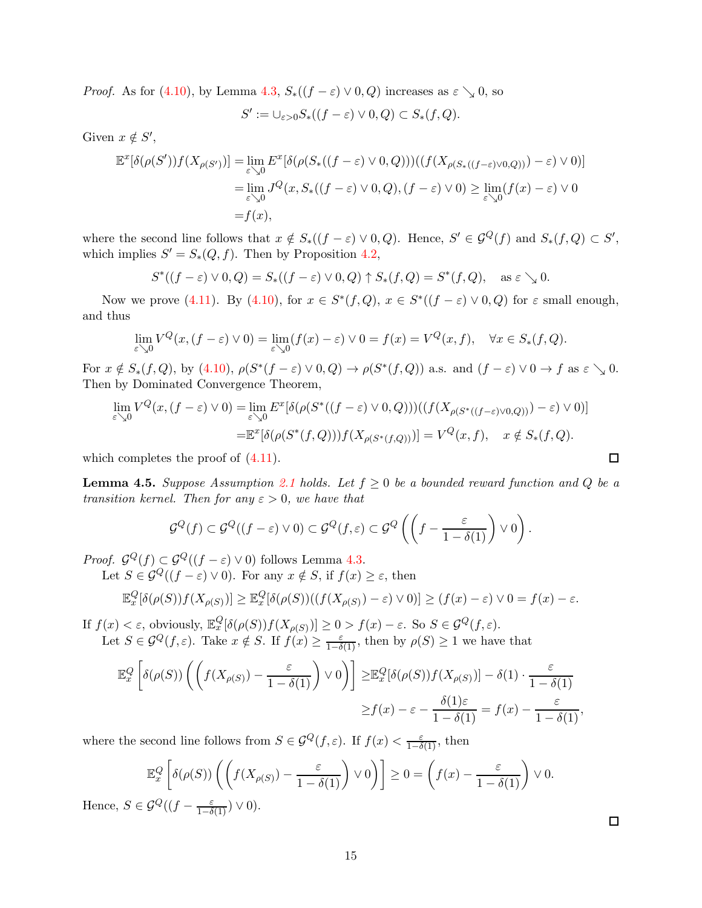*Proof.* As for [\(4.10\)](#page-13-1), by Lemma [4.3,](#page-13-2)  $S_*( (f - \varepsilon) \vee 0, Q)$  increases as  $\varepsilon \searrow 0$ , so

$$
S' := \cup_{\varepsilon > 0} S_*((f - \varepsilon) \vee 0, Q) \subset S_*(f, Q).
$$

Given  $x \notin S'$ ,

$$
\mathbb{E}^{x}[\delta(\rho(S'))f(X_{\rho(S')})] = \lim_{\varepsilon \searrow 0} \mathbb{E}^{x}[\delta(\rho(S_{*}((f-\varepsilon) \vee 0, Q)))((f(X_{\rho(S_{*}((f-\varepsilon) \vee 0, Q))}) - \varepsilon) \vee 0)]
$$
  
\n
$$
= \lim_{\varepsilon \searrow 0} J^{Q}(x, S_{*}((f-\varepsilon) \vee 0, Q), (f-\varepsilon) \vee 0) \ge \lim_{\varepsilon \searrow 0} (f(x) - \varepsilon) \vee 0
$$
  
\n
$$
= f(x),
$$

where the second line follows that  $x \notin S_*( (f - \varepsilon) \vee 0, Q)$ . Hence,  $S' \in \mathcal{G}^Q(f)$  and  $S_*(f, Q) \subset S'$ , which implies  $S' = S_*(Q, f)$ . Then by Proposition [4.2,](#page-12-2)

$$
S^*((f-\varepsilon)\vee 0, Q) = S_*((f-\varepsilon)\vee 0, Q) \uparrow S_*(f, Q) = S^*(f, Q), \quad \text{as } \varepsilon \searrow 0.
$$

Now we prove [\(4.11\)](#page-13-3). By [\(4.10\)](#page-13-1), for  $x \in S^*(f, Q)$ ,  $x \in S^*((f - \varepsilon) \vee 0, Q)$  for  $\varepsilon$  small enough, and thus

$$
\lim_{\varepsilon \searrow 0} V^Q(x, (f - \varepsilon) \vee 0) = \lim_{\varepsilon \searrow 0} (f(x) - \varepsilon) \vee 0 = f(x) = V^Q(x, f), \quad \forall x \in S_*(f, Q).
$$

For  $x \notin S_*(f, Q)$ , by  $(4.10)$ ,  $\rho(S^*(f - \varepsilon) \vee 0, Q) \to \rho(S^*(f, Q))$  a.s. and  $(f - \varepsilon) \vee 0 \to f$  as  $\varepsilon \searrow 0$ . Then by Dominated Convergence Theorem,

$$
\lim_{\varepsilon \searrow 0} V^{Q}(x,(f-\varepsilon) \vee 0) = \lim_{\varepsilon \searrow 0} E^{x}[\delta(\rho(S^*((f-\varepsilon) \vee 0,Q)))((f(X_{\rho(S^*((f-\varepsilon) \vee 0,Q)})) - \varepsilon) \vee 0)]
$$
  
= 
$$
\mathbb{E}^{x}[\delta(\rho(S^*(f,Q)))f(X_{\rho(S^*(f,Q))})] = V^{Q}(x,f), \quad x \notin S_*(f,Q).
$$

which completes the proof of  $(4.11)$ .

<span id="page-14-0"></span>**Lemma 4.5.** Suppose Assumption [2.1](#page-2-1) holds. Let  $f \ge 0$  be a bounded reward function and Q be a transition kernel. Then for any  $\varepsilon > 0$ , we have that

$$
\mathcal{G}^Q(f) \subset \mathcal{G}^Q((f-\varepsilon) \vee 0) \subset \mathcal{G}^Q(f,\varepsilon) \subset \mathcal{G}^Q\left(\left(f-\frac{\varepsilon}{1-\delta(1)}\right) \vee 0\right).
$$

*Proof.*  $\mathcal{G}^Q(f) \subset \mathcal{G}^Q((f - \varepsilon) \vee 0)$  follows Lemma [4.3.](#page-13-2)

Let  $S \in \mathcal{G}^Q((f - \varepsilon) \vee 0)$ . For any  $x \notin S$ , if  $f(x) \geq \varepsilon$ , then

$$
\mathbb{E}_x^Q[\delta(\rho(S))f(X_{\rho(S)})] \geq \mathbb{E}_x^Q[\delta(\rho(S))((f(X_{\rho(S)}) - \varepsilon) \vee 0)] \geq (f(x) - \varepsilon) \vee 0 = f(x) - \varepsilon.
$$

If  $f(x) < \varepsilon$ , obviously,  $\mathbb{E}_x^Q[\delta(\rho(S))f(X_{\rho(S)})] \geq 0 > f(x) - \varepsilon$ . So  $S \in \mathcal{G}^Q(f, \varepsilon)$ . Let  $S \in \mathcal{G}^Q(f,\varepsilon)$ . Take  $x \notin S$ . If  $f(x) \geq \frac{\varepsilon}{1-\delta(1)}$ , then by  $\rho(S) \geq 1$  we have that

$$
\mathbb{E}_x^Q \left[ \delta(\rho(S)) \left( \left( f(X_{\rho(S)}) - \frac{\varepsilon}{1 - \delta(1)} \right) \vee 0 \right) \right] \geq \mathbb{E}_x^Q [\delta(\rho(S)) f(X_{\rho(S)})] - \delta(1) \cdot \frac{\varepsilon}{1 - \delta(1)} \n\geq f(x) - \varepsilon - \frac{\delta(1)\varepsilon}{1 - \delta(1)} = f(x) - \frac{\varepsilon}{1 - \delta(1)},
$$

where the second line follows from  $S \in \mathcal{G}^Q(f,\varepsilon)$ . If  $f(x) < \frac{\varepsilon}{1-\delta(1)}$ , then

$$
\mathbb{E}_x^Q \left[ \delta(\rho(S)) \left( \left( f(X_{\rho(S)}) - \frac{\varepsilon}{1 - \delta(1)} \right) \vee 0 \right) \right] \ge 0 = \left( f(x) - \frac{\varepsilon}{1 - \delta(1)} \right) \vee 0.
$$
  

$$
\mathcal{G}^Q((f - \frac{\varepsilon}{1 - \delta(1)}) \vee 0).
$$

Hence,  $S \in \mathcal{G}^Q((f - \frac{\varepsilon}{1 - \delta(1)}) \vee 0)$ .

 $\Box$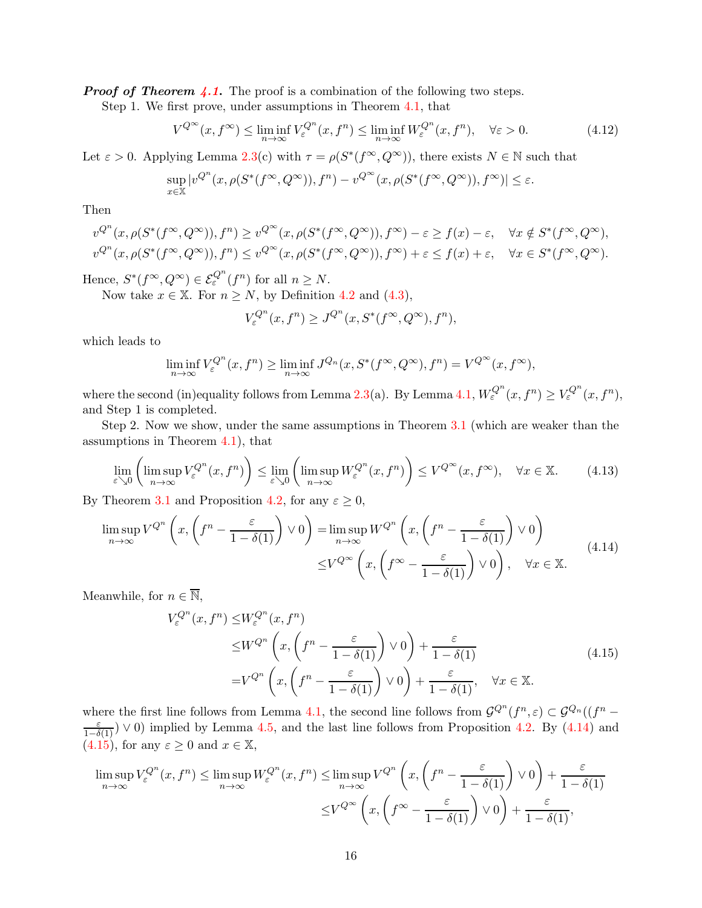**Proof of Theorem [4.1](#page-10-0).** The proof is a combination of the following two steps.

Step 1. We first prove, under assumptions in Theorem [4.1,](#page-10-0) that

$$
V^{Q^{\infty}}(x, f^{\infty}) \le \liminf_{n \to \infty} V^{Q^n}_{\varepsilon}(x, f^n) \le \liminf_{n \to \infty} W^{Q^n}_{\varepsilon}(x, f^n), \quad \forall \varepsilon > 0.
$$
 (4.12)

Let  $\varepsilon > 0$ . Applying Lemma [2.3\(](#page-4-2)c) with  $\tau = \rho(S^*(f^{\infty}, Q^{\infty}))$ , there exists  $N \in \mathbb{N}$  such that

$$
\sup_{x \in \mathbb{X}} |v^{Q^n}(x, \rho(S^*(f^\infty, Q^\infty)), f^n) - v^{Q^\infty}(x, \rho(S^*(f^\infty, Q^\infty)), f^\infty)| \le \varepsilon.
$$

Then

$$
v^{Q^n}(x,\rho(S^*(f^\infty,Q^\infty)),f^n) \ge v^{Q^\infty}(x,\rho(S^*(f^\infty,Q^\infty)),f^\infty) - \varepsilon \ge f(x) - \varepsilon, \quad \forall x \notin S^*(f^\infty,Q^\infty),
$$
  

$$
v^{Q^n}(x,\rho(S^*(f^\infty,Q^\infty)),f^n) \le v^{Q^\infty}(x,\rho(S^*(f^\infty,Q^\infty)),f^\infty) + \varepsilon \le f(x) + \varepsilon, \quad \forall x \in S^*(f^\infty,Q^\infty).
$$

Hence,  $S^*(f^{\infty}, Q^{\infty}) \in \mathcal{E}_{\varepsilon}^{Q^n}(f^n)$  for all  $n \geq N$ .

Now take  $x \in \mathbb{X}$ . For  $n \geq N$ , by Definition [4.2](#page-9-1) and [\(4.3\)](#page-9-4),

$$
V_{\varepsilon}^{Q^n}(x, f^n) \ge J^{Q^n}(x, S^*(f^{\infty}, Q^{\infty}), f^n),
$$

which leads to

$$
\liminf_{n \to \infty} V_{\varepsilon}^{Q^n}(x, f^n) \ge \liminf_{n \to \infty} J^{Q_n}(x, S^*(f^{\infty}, Q^{\infty}), f^n) = V^{Q^{\infty}}(x, f^{\infty}),
$$

where the second (in)equality follows from Lemma [2.3\(](#page-4-2)a). By Lemma [4.1,](#page-12-4)  $W_{\varepsilon}^{Q^n}(x, f^n) \ge V_{\varepsilon}^{Q^n}(x, f^n)$ , and Step 1 is completed.

Step 2. Now we show, under the same assumptions in Theorem [3.1](#page-5-1) (which are weaker than the assumptions in Theorem [4.1\)](#page-10-0), that

<span id="page-15-2"></span>
$$
\lim_{\varepsilon \searrow 0} \left( \limsup_{n \to \infty} V_{\varepsilon}^{Q^n}(x, f^n) \right) \le \lim_{\varepsilon \searrow 0} \left( \limsup_{n \to \infty} W_{\varepsilon}^{Q^n}(x, f^n) \right) \le V^{Q^{\infty}}(x, f^{\infty}), \quad \forall x \in \mathbb{X}.
$$
 (4.13)

By Theorem [3.1](#page-5-1) and Proposition [4.2,](#page-12-2) for any  $\varepsilon \geq 0$ ,

<span id="page-15-0"></span>
$$
\limsup_{n \to \infty} V^{Q^n} \left( x, \left( f^n - \frac{\varepsilon}{1 - \delta(1)} \right) \vee 0 \right) = \limsup_{n \to \infty} W^{Q^n} \left( x, \left( f^n - \frac{\varepsilon}{1 - \delta(1)} \right) \vee 0 \right)
$$
\n
$$
\leq V^{Q^{\infty}} \left( x, \left( f^{\infty} - \frac{\varepsilon}{1 - \delta(1)} \right) \vee 0 \right), \quad \forall x \in \mathbb{X}.
$$
\n(4.14)

Meanwhile, for  $n \in \overline{\mathbb{N}}$ ,

<span id="page-15-1"></span>
$$
V_{\varepsilon}^{Q^n}(x, f^n) \leq W_{\varepsilon}^{Q^n}(x, f^n)
$$
  
\n
$$
\leq W^{Q^n}\left(x, \left(f^n - \frac{\varepsilon}{1 - \delta(1)}\right) \vee 0\right) + \frac{\varepsilon}{1 - \delta(1)}
$$
  
\n
$$
= V^{Q^n}\left(x, \left(f^n - \frac{\varepsilon}{1 - \delta(1)}\right) \vee 0\right) + \frac{\varepsilon}{1 - \delta(1)}, \quad \forall x \in \mathbb{X}.
$$
\n(4.15)

where the first line follows from Lemma [4.1,](#page-12-4) the second line follows from  $\mathcal{G}^{Q^n}(f^n,\varepsilon) \subset \mathcal{G}^{Q_n}((f^n-\varepsilon)$  $\frac{\varepsilon}{1-\delta(1)}$   $\vee$  0) implied by Lemma [4.5,](#page-14-0) and the last line follows from Proposition [4.2.](#page-12-2) By [\(4.14\)](#page-15-0) and  $(4.15)$ , for any  $\varepsilon \geq 0$  and  $x \in \mathbb{X}$ ,

$$
\limsup_{n \to \infty} V_{\varepsilon}^{Q^n}(x, f^n) \le \limsup_{n \to \infty} W_{\varepsilon}^{Q^n}(x, f^n) \le \limsup_{n \to \infty} V^{Q^n}\left(x, \left(f^n - \frac{\varepsilon}{1 - \delta(1)}\right) \vee 0\right) + \frac{\varepsilon}{1 - \delta(1)}
$$

$$
\le V^{Q^{\infty}}\left(x, \left(f^{\infty} - \frac{\varepsilon}{1 - \delta(1)}\right) \vee 0\right) + \frac{\varepsilon}{1 - \delta(1)},
$$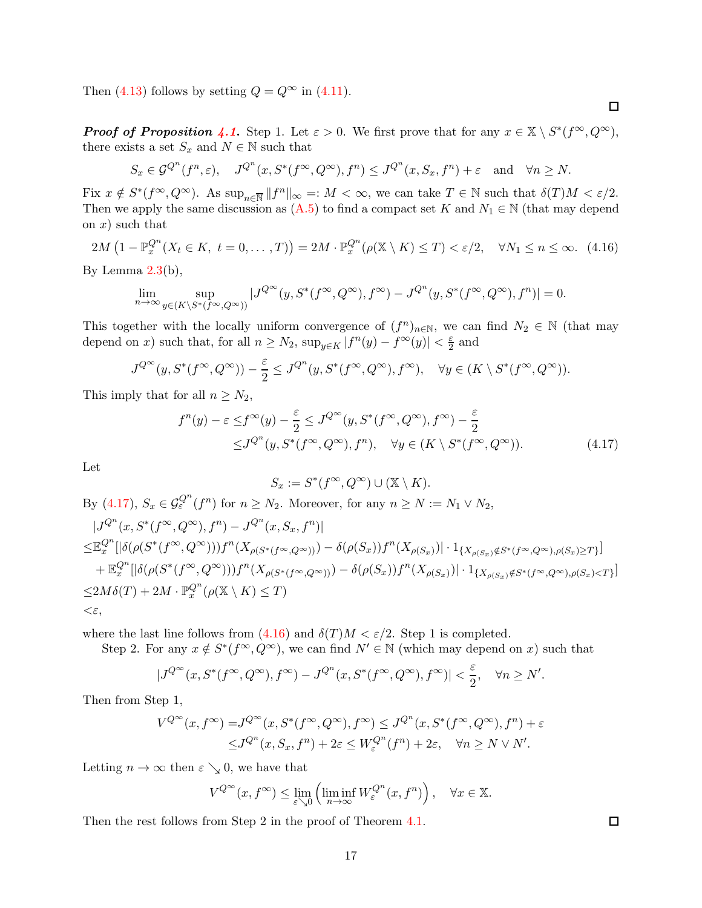Then [\(4.13\)](#page-15-2) follows by setting  $Q = Q^{\infty}$  in [\(4.11\)](#page-13-3).

**Proof of Proposition [4.1](#page-12-0).** Step 1. Let  $\varepsilon > 0$ . We first prove that for any  $x \in \mathbb{X} \setminus S^*(f^{\infty}, Q^{\infty})$ , there exists a set  $S_x$  and  $N \in \mathbb{N}$  such that

$$
S_x \in \mathcal{G}^{Q^n}(f^n, \varepsilon), \quad J^{Q^n}(x, S^*(f^\infty, Q^\infty), f^n) \le J^{Q^n}(x, S_x, f^n) + \varepsilon \quad \text{and} \quad \forall n \ge N.
$$

Fix  $x \notin S^*(f^{\infty}, Q^{\infty})$ . As  $\sup_{n \in \overline{\mathbb{N}}} ||f^n||_{\infty} =: M < \infty$ , we can take  $T \in \mathbb{N}$  such that  $\delta(T)M < \varepsilon/2$ . Then we apply the same discussion as  $(A.5)$  to find a compact set K and  $N_1 \in \mathbb{N}$  (that may depend on  $x$ ) such that

<span id="page-16-1"></span>
$$
2M\left(1-\mathbb{P}_{x}^{Q^{n}}(X_{t}\in K,\ t=0,\ldots,T)\right)=2M\cdot\mathbb{P}_{x}^{Q^{n}}(\rho(\mathbb{X}\setminus K)\leq T)<\varepsilon/2,\quad\forall N_{1}\leq n\leq\infty.\tag{4.16}
$$

By Lemma  $2.3(b)$  $2.3(b)$ ,

$$
\lim_{n\to\infty}\sup_{y\in (K\backslash S^*(f^\infty,Q^\infty))}|J^{Q^\infty}(y,S^*(f^\infty,Q^\infty),f^\infty)-J^{Q^n}(y,S^*(f^\infty,Q^\infty),f^n)|=0.
$$

This together with the locally uniform convergence of  $(f^n)_{n\in\mathbb{N}}$ , we can find  $N_2 \in \mathbb{N}$  (that may depend on x) such that, for all  $n \geq N_2$ ,  $\sup_{y \in K} |f^n(y) - f^{\infty}(y)| < \frac{\varepsilon}{2}$  and

$$
J^{Q^{\infty}}(y, S^*(f^{\infty}, Q^{\infty})) - \frac{\varepsilon}{2} \le J^{Q^n}(y, S^*(f^{\infty}, Q^{\infty}), f^{\infty}), \quad \forall y \in (K \setminus S^*(f^{\infty}, Q^{\infty})).
$$

This imply that for all  $n \geq N_2$ ,

$$
f^{n}(y) - \varepsilon \le f^{\infty}(y) - \frac{\varepsilon}{2} \le J^{Q^{\infty}}(y, S^{*}(f^{\infty}, Q^{\infty}), f^{\infty}) - \frac{\varepsilon}{2}
$$
  

$$
\le J^{Q^{n}}(y, S^{*}(f^{\infty}, Q^{\infty}), f^{n}), \quad \forall y \in (K \setminus S^{*}(f^{\infty}, Q^{\infty})).
$$
 (4.17)

Let

$$
S_x := S^*(f^{\infty}, Q^{\infty}) \cup (\mathbb{X} \setminus K).
$$

By [\(4.17\)](#page-16-0),  $S_x \in \mathcal{G}_{\varepsilon}^{Q^n}(f^n)$  for  $n \geq N_2$ . Moreover, for any  $n \geq N := N_1 \vee N_2$ ,

$$
\begin{split} &|J^{Q^n}(x,S^*(f^\infty,Q^\infty),f^n)-J^{Q^n}(x,S_x,f^n)|\\ \leq&\mathbb{E}_x^{Q^n}[|\delta(\rho(S^*(f^\infty,Q^\infty)))f^n(X_{\rho(S^*(f^\infty,Q^\infty))})-\delta(\rho(S_x))f^n(X_{\rho(S_x)})|\cdot 1_{\{X_{\rho(S_x)}\notin S^*(f^\infty,Q^\infty),\rho(S_x)\geq T\}}]\\ &+\mathbb{E}_x^{Q^n}[|\delta(\rho(S^*(f^\infty,Q^\infty)))f^n(X_{\rho(S^*(f^\infty,Q^\infty))})-\delta(\rho(S_x))f^n(X_{\rho(S_x)})|\cdot 1_{\{X_{\rho(S_x)}\notin S^*(f^\infty,Q^\infty),\rho(S_x)< T\}}]\\ \leq& 2M\delta(T)+2M\cdot\mathbb{P}_x^{Q^n}(\rho(\mathbb{X}\setminus K)\leq T)\\ <&\varepsilon, \end{split}
$$

where the last line follows from  $(4.16)$  and  $\delta(T)M < \varepsilon/2$ . Step 1 is completed.

Step 2. For any  $x \notin S^*(f^{\infty}, Q^{\infty})$ , we can find  $N' \in \mathbb{N}$  (which may depend on x) such that

$$
|J^{Q^{\infty}}(x,S^*(f^{\infty},Q^{\infty}),f^{\infty})-J^{Q^n}(x,S^*(f^{\infty},Q^{\infty}),f^{\infty})|<\frac{\varepsilon}{2},\quad \forall n\geq N'.
$$

Then from Step 1,

$$
V^{Q^{\infty}}(x, f^{\infty}) = J^{Q^{\infty}}(x, S^*(f^{\infty}, Q^{\infty}), f^{\infty}) \leq J^{Q^n}(x, S^*(f^{\infty}, Q^{\infty}), f^n) + \varepsilon
$$
  

$$
\leq J^{Q^n}(x, S_x, f^n) + 2\varepsilon \leq W^{Q^n}_{\varepsilon}(f^n) + 2\varepsilon, \quad \forall n \geq N \vee N'.
$$

Letting  $n \to \infty$  then  $\varepsilon \searrow 0$ , we have that

$$
V^{Q^{\infty}}(x, f^{\infty}) \le \lim_{\varepsilon \searrow 0} \left( \liminf_{n \to \infty} W_{\varepsilon}^{Q^n}(x, f^n) \right), \quad \forall x \in \mathbb{X}.
$$

Then the rest follows from Step 2 in the proof of Theorem [4.1.](#page-10-0)

 $\Box$ 

<span id="page-16-0"></span>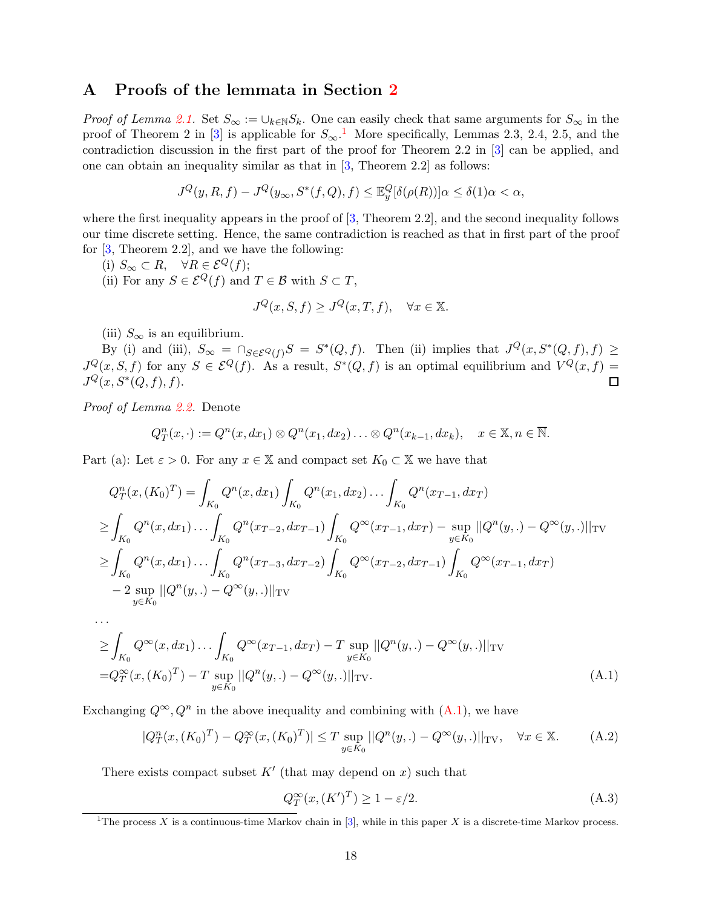## <span id="page-17-0"></span>A Proofs of the lemmata in Section [2](#page-2-0)

*Proof of Lemma [2.1.](#page-4-0)* Set  $S_{\infty} := \bigcup_{k \in \mathbb{N}} S_k$ . One can easily check that same arguments for  $S_{\infty}$  in the proof of Theorem 2 in [\[3\]](#page-20-10) is applicable for  $S_{\infty}$ .<sup>[1](#page-17-1)</sup> More specifically, Lemmas 2.3, 2.4, 2.5, and the contradiction discussion in the first part of the proof for Theorem 2.2 in [\[3\]](#page-20-10) can be applied, and one can obtain an inequality similar as that in [\[3,](#page-20-10) Theorem 2.2] as follows:

$$
J^{Q}(y, R, f) - J^{Q}(y_{\infty}, S^{*}(f, Q), f) \leq \mathbb{E}_{y}^{Q}[\delta(\rho(R))] \alpha \leq \delta(1)\alpha < \alpha,
$$

where the first inequality appears in the proof of  $[3,$  Theorem 2.2], and the second inequality follows our time discrete setting. Hence, the same contradiction is reached as that in first part of the proof for [\[3,](#page-20-10) Theorem 2.2], and we have the following:

- (i)  $S_{\infty} \subset R$ ,  $\forall R \in \mathcal{E}^Q(f)$ ;
- (ii) For any  $S \in \mathcal{E}^Q(f)$  and  $T \in \mathcal{B}$  with  $S \subset T$ ,

$$
J^{Q}(x, S, f) \geq J^{Q}(x, T, f), \quad \forall x \in \mathbb{X}.
$$

(iii)  $S_{\infty}$  is an equilibrium.

By (i) and (iii),  $S_{\infty} = \bigcap_{S \in \mathcal{E}^Q(f)} S = S^*(Q, f)$ . Then (ii) implies that  $J^Q(x, S^*(Q, f), f) \ge$  $J^Q(x, S, f)$  for any  $S \in \mathcal{E}^Q(f)$ . As a result,  $S^*(Q, f)$  is an optimal equilibrium and  $V^Q(x, f)$  $J^{Q}(x, S^{*}(Q, f), f).$  $\Box$ 

Proof of Lemma [2.2.](#page-4-1) Denote

. . .

$$
Q_T^n(x, \cdot) := Q^n(x, dx_1) \otimes Q^n(x_1, dx_2) \dots \otimes Q^n(x_{k-1}, dx_k), \quad x \in \mathbb{X}, n \in \overline{\mathbb{N}}.
$$

Part (a): Let  $\varepsilon > 0$ . For any  $x \in \mathbb{X}$  and compact set  $K_0 \subset \mathbb{X}$  we have that

$$
Q_T^n(x, (K_0)^T) = \int_{K_0} Q^n(x, dx_1) \int_{K_0} Q^n(x_1, dx_2) \dots \int_{K_0} Q^n(x_{T-1}, dx_T)
$$
  
\n
$$
\geq \int_{K_0} Q^n(x, dx_1) \dots \int_{K_0} Q^n(x_{T-2}, dx_{T-1}) \int_{K_0} Q^\infty(x_{T-1}, dx_T) - \sup_{y \in K_0} ||Q^n(y,.) - Q^\infty(y,.)||_{TV}
$$
  
\n
$$
\geq \int_{K_0} Q^n(x, dx_1) \dots \int_{K_0} Q^n(x_{T-3}, dx_{T-2}) \int_{K_0} Q^\infty(x_{T-2}, dx_{T-1}) \int_{K_0} Q^\infty(x_{T-1}, dx_T)
$$
  
\n
$$
-2 \sup_{y \in K_0} ||Q^n(y,.) - Q^\infty(y,.)||_{TV}
$$

$$
\geq \int_{K_0} Q^{\infty}(x, dx_1) \dots \int_{K_0} Q^{\infty}(x_{T-1}, dx_T) - T \sup_{y \in K_0} ||Q^n(y,.) - Q^{\infty}(y,.)||_{TV}
$$
  
=  $Q_T^{\infty}(x, (K_0)^T) - T \sup_{y \in K_0} ||Q^n(y,.) - Q^{\infty}(y,.)||_{TV}.$  (A.1)

Exchanging  $Q^{\infty}, Q^n$  in the above inequality and combining with  $(A.1)$ , we have

<span id="page-17-3"></span>
$$
|Q_T^n(x, (K_0)^T) - Q_T^{\infty}(x, (K_0)^T)| \le T \sup_{y \in K_0} ||Q^n(y,.) - Q^{\infty}(y,.)||_{TV}, \quad \forall x \in \mathbb{X}.
$$
 (A.2)

There exists compact subset  $K'$  (that may depend on x) such that

<span id="page-17-4"></span><span id="page-17-2"></span>
$$
Q_T^{\infty}(x,(K')^T) \ge 1 - \varepsilon/2. \tag{A.3}
$$

<span id="page-17-1"></span><sup>&</sup>lt;sup>1</sup>The process X is a continuous-time Markov chain in [\[3\]](#page-20-10), while in this paper X is a discrete-time Markov process.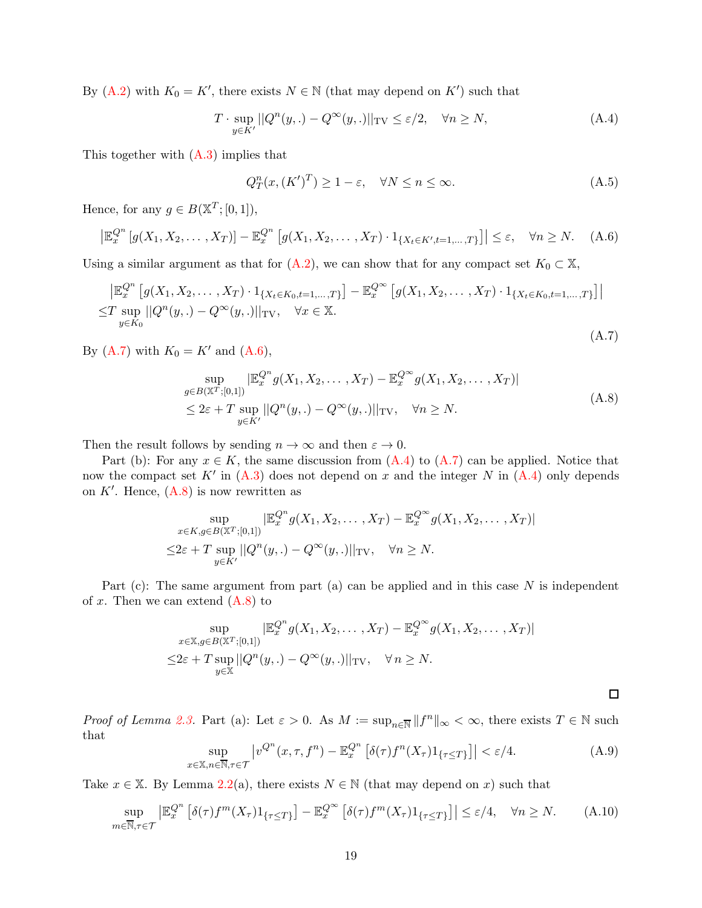By [\(A.2\)](#page-17-3) with  $K_0 = K'$ , there exists  $N \in \mathbb{N}$  (that may depend on K') such that

<span id="page-18-3"></span>
$$
T \cdot \sup_{y \in K'} ||Q^n(y,.) - Q^{\infty}(y,.)||_{\text{TV}} \le \varepsilon/2, \quad \forall n \ge N,
$$
\n(A.4)

This together with  $(A.3)$  implies that

<span id="page-18-0"></span>
$$
Q_T^n(x, (K')^T) \ge 1 - \varepsilon, \quad \forall N \le n \le \infty.
$$
 (A.5)

Hence, for any  $g \in B(\mathbb{X}^T; [0, 1]),$ 

<span id="page-18-2"></span>
$$
\left|\mathbb{E}_x^{Q^n}\left[g(X_1, X_2, \dots, X_T)\right] - \mathbb{E}_x^{Q^n}\left[g(X_1, X_2, \dots, X_T)\cdot 1_{\{X_t \in K', t=1,\dots,T\}}\right]\right| \le \varepsilon, \quad \forall n \ge N. \tag{A.6}
$$

Using a similar argument as that for  $(A.2)$ , we can show that for any compact set  $K_0 \subset \mathbb{X}$ ,

<span id="page-18-1"></span>
$$
\begin{aligned} &\left| \mathbb{E}_{x}^{Q^{n}} \left[ g(X_{1}, X_{2}, \ldots, X_{T}) \cdot 1_{\{X_{t} \in K_{0}, t=1, \ldots, T\}} \right] - \mathbb{E}_{x}^{Q^{\infty}} \left[ g(X_{1}, X_{2}, \ldots, X_{T}) \cdot 1_{\{X_{t} \in K_{0}, t=1, \ldots, T\}} \right] \right| \\ &\leq & T \sup_{y \in K_{0}} \left| |Q^{n}(y,.) - Q^{\infty}(y,.)| \right|_{\text{TV}}, \quad \forall x \in \mathbb{X}. \end{aligned} \tag{A.7}
$$

By [\(A.7\)](#page-18-1) with  $K_0 = K'$  and [\(A.6\)](#page-18-2),

<span id="page-18-4"></span>
$$
\sup_{g \in B(\mathbb{X}^T;[0,1])} |\mathbb{E}_x^{Q^n} g(X_1, X_2, \dots, X_T) - \mathbb{E}_x^{Q^{\infty}} g(X_1, X_2, \dots, X_T)|
$$
\n
$$
\leq 2\varepsilon + T \sup_{y \in K'} ||Q^n(y,.) - Q^{\infty}(y,.)||_{\text{TV}}, \quad \forall n \geq N.
$$
\n(A.8)

Then the result follows by sending  $n \to \infty$  and then  $\varepsilon \to 0$ .

Part (b): For any  $x \in K$ , the same discussion from  $(A.4)$  to  $(A.7)$  can be applied. Notice that now the compact set  $K'$  in  $(A.3)$  does not depend on x and the integer N in  $(A.4)$  only depends on  $K'$ . Hence,  $(A.8)$  is now rewritten as

$$
\sup_{x \in K, g \in B(\mathbb{X}^T; [0,1])} |\mathbb{E}_x^{Q^n} g(X_1, X_2, \dots, X_T) - \mathbb{E}_x^{Q^\infty} g(X_1, X_2, \dots, X_T)|
$$
  

$$
\leq 2\varepsilon + T \sup_{y \in K'} ||Q^n(y,.) - Q^\infty(y,.)||_{TV}, \quad \forall n \geq N.
$$

Part (c): The same argument from part (a) can be applied and in this case  $N$  is independent of x. Then we can extend  $(A.8)$  to

$$
\sup_{x \in \mathbb{X}, g \in B(\mathbb{X}^T; [0,1])} |\mathbb{E}_x^{Q^n} g(X_1, X_2, \dots, X_T) - \mathbb{E}_x^{Q^{\infty}} g(X_1, X_2, \dots, X_T)|
$$
  

$$
\leq 2\varepsilon + T \sup_{y \in \mathbb{X}} ||Q^n(y,.) - Q^{\infty}(y,.)||_{TV}, \quad \forall n \geq N.
$$

 $\Box$ 

Proof of Lemma [2.3.](#page-4-2) Part (a): Let  $\varepsilon > 0$ . As  $M := \sup_{n \in \overline{N}} ||f^n||_{\infty} < \infty$ , there exists  $T \in \mathbb{N}$  such that

<span id="page-18-5"></span>
$$
\sup_{x \in \mathbb{X}, n \in \overline{\mathbb{N}}, \tau \in \mathcal{T}} \left| v^{Q^n}(x, \tau, f^n) - \mathbb{E}_x^{Q^n} \left[ \delta(\tau) f^n(X_\tau) 1_{\{\tau \le T\}} \right] \right| < \varepsilon/4. \tag{A.9}
$$

Take  $x \in \mathbb{X}$ . By Lemma [2.2\(](#page-4-1)a), there exists  $N \in \mathbb{N}$  (that may depend on x) such that

<span id="page-18-6"></span>
$$
\sup_{m \in \overline{\mathbb{N}}, \tau \in \mathcal{T}} \left| \mathbb{E}_x^{Q^n} \left[ \delta(\tau) f^m(X_\tau) 1_{\{\tau \le T\}} \right] - \mathbb{E}_x^{Q^\infty} \left[ \delta(\tau) f^m(X_\tau) 1_{\{\tau \le T\}} \right] \right| \le \varepsilon / 4, \quad \forall n \ge N. \tag{A.10}
$$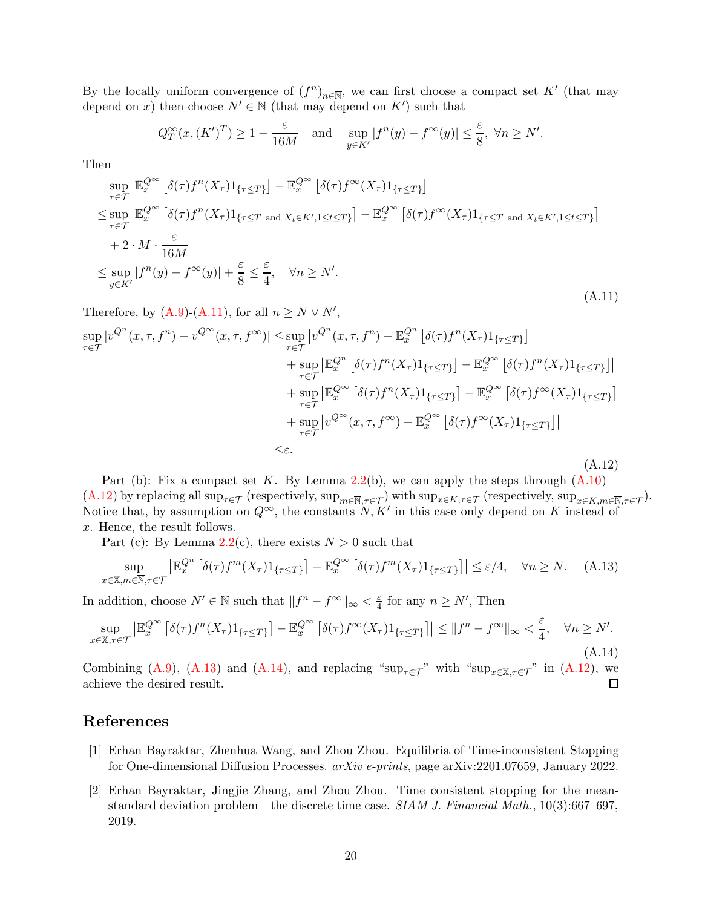By the locally uniform convergence of  $(f^n)_{n\in\overline{\mathbb{N}}}$ , we can first choose a compact set K' (that may depend on x) then choose  $N' \in \mathbb{N}$  (that may depend on K') such that

$$
Q_T^{\infty}(x, (K')^T) \ge 1 - \frac{\varepsilon}{16M}
$$
 and  $\sup_{y \in K'} |f^n(y) - f^{\infty}(y)| \le \frac{\varepsilon}{8}$ ,  $\forall n \ge N'.$ 

Then

<span id="page-19-2"></span>
$$
\sup_{\tau \in \mathcal{T}} \left| \mathbb{E}_{x}^{Q^{\infty}} \left[ \delta(\tau) f^{n}(X_{\tau}) 1_{\{\tau \leq T\}} \right] - \mathbb{E}_{x}^{Q^{\infty}} \left[ \delta(\tau) f^{\infty}(X_{\tau}) 1_{\{\tau \leq T\}} \right] \right|
$$
\n
$$
\leq \sup_{\tau \in \mathcal{T}} \left| \mathbb{E}_{x}^{Q^{\infty}} \left[ \delta(\tau) f^{n}(X_{\tau}) 1_{\{\tau \leq T \text{ and } X_{t} \in K', 1 \leq t \leq T\}} \right] - \mathbb{E}_{x}^{Q^{\infty}} \left[ \delta(\tau) f^{\infty}(X_{\tau}) 1_{\{\tau \leq T \text{ and } X_{t} \in K', 1 \leq t \leq T\}} \right] \right|
$$
\n
$$
+ 2 \cdot M \cdot \frac{\varepsilon}{16M}
$$
\n
$$
\leq \sup_{y \in K'} |f^{n}(y) - f^{\infty}(y)| + \frac{\varepsilon}{8} \leq \frac{\varepsilon}{4}, \quad \forall n \geq N'.
$$
\n(A.11)

Therefore, by  $(A.9)-(A.11)$  $(A.9)-(A.11)$ , for all  $n \geq N \vee N'$ ,

<span id="page-19-3"></span>
$$
\sup_{\tau \in \mathcal{T}} |v^{Q^n}(x, \tau, f^n) - v^{Q^{\infty}}(x, \tau, f^{\infty})| \leq \sup_{\tau \in \mathcal{T}} |v^{Q^n}(x, \tau, f^n) - \mathbb{E}_x^{Q^n} [\delta(\tau) f^n(X_{\tau}) 1_{\{\tau \leq T\}}]|
$$
\n
$$
+ \sup_{\tau \in \mathcal{T}} |\mathbb{E}_x^{Q^{\infty}} [\delta(\tau) f^n(X_{\tau}) 1_{\{\tau \leq T\}}] - \mathbb{E}_x^{Q^{\infty}} [\delta(\tau) f^n(X_{\tau}) 1_{\{\tau \leq T\}}]|
$$
\n
$$
+ \sup_{\tau \in \mathcal{T}} |\mathbb{E}_x^{Q^{\infty}} [\delta(\tau) f^n(X_{\tau}) 1_{\{\tau \leq T\}}] - \mathbb{E}_x^{Q^{\infty}} [\delta(\tau) f^{\infty}(X_{\tau}) 1_{\{\tau \leq T\}}]|
$$
\n
$$
+ \sup_{\tau \in \mathcal{T}} |v^{Q^{\infty}}(x, \tau, f^{\infty}) - \mathbb{E}_x^{Q^{\infty}} [\delta(\tau) f^{\infty}(X_{\tau}) 1_{\{\tau \leq T\}}]|
$$
\n
$$
\leq \varepsilon.
$$
\n(A.12)

Part (b): Fix a compact set K. By Lemma [2.2\(](#page-4-1)b), we can apply the steps through  $(A.10)$ — [\(A.12\)](#page-19-3) by replacing all  $\sup_{\tau \in \mathcal{T}}$  (respectively,  $\sup_{m \in \mathbb{N}, \tau \in \mathcal{T}}$ ) with  $\sup_{x \in K, \tau \in \mathcal{T}}$  (respectively,  $\sup_{x \in K, m \in \mathbb{N}, \tau \in \mathcal{T}}$ ). Notice that, by assumption on  $Q^{\infty}$ , the constants  $N, K'$  in this case only depend on K instead of x. Hence, the result follows.

Part (c): By Lemma  $2.2(c)$  $2.2(c)$ , there exists  $N > 0$  such that

<span id="page-19-4"></span>
$$
\sup_{x \in \mathbb{X}, m \in \overline{\mathbb{N}}, \tau \in \mathcal{T}} \left| \mathbb{E}_x^{Q^n} \left[ \delta(\tau) f^m(X_\tau) 1_{\{\tau \le T\}} \right] - \mathbb{E}_x^{Q^\infty} \left[ \delta(\tau) f^m(X_\tau) 1_{\{\tau \le T\}} \right] \right| \le \varepsilon / 4, \quad \forall n \ge N. \tag{A.13}
$$

In addition, choose  $N' \in \mathbb{N}$  such that  $||f^n - f^{\infty}||_{\infty} < \frac{\varepsilon}{4}$  $\frac{\varepsilon}{4}$  for any  $n \geq N'$ , Then

<span id="page-19-5"></span>
$$
\sup_{x \in \mathbb{X}, \tau \in \mathcal{T}} \left| \mathbb{E}_x^{Q^{\infty}} \left[ \delta(\tau) f^n(X_{\tau}) \mathbf{1}_{\{\tau \le T\}} \right] - \mathbb{E}_x^{Q^{\infty}} \left[ \delta(\tau) f^{\infty}(X_{\tau}) \mathbf{1}_{\{\tau \le T\}} \right] \right| \le \| f^n - f^{\infty} \|_{\infty} < \frac{\varepsilon}{4}, \quad \forall n \ge N'.
$$
\n(A.14)

Combining [\(A.9\)](#page-18-5), [\(A.13\)](#page-19-4) and [\(A.14\)](#page-19-5), and replacing "sup<sub> $\tau \in \tau$ </sub>" with "sup<sub>x∈X, $\tau \in \tau$ </sub>" in [\(A.12\)](#page-19-3), we achieve the desired result. П

# <span id="page-19-1"></span>References

- [1] Erhan Bayraktar, Zhenhua Wang, and Zhou Zhou. Equilibria of Time-inconsistent Stopping for One-dimensional Diffusion Processes. arXiv e-prints, page arXiv:2201.07659, January 2022.
- <span id="page-19-0"></span>[2] Erhan Bayraktar, Jingjie Zhang, and Zhou Zhou. Time consistent stopping for the meanstandard deviation problem—the discrete time case. SIAM J. Financial Math., 10(3):667–697, 2019.